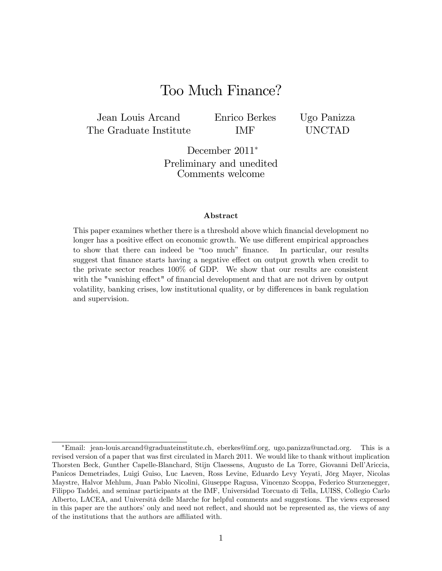# Too Much Finance?

Jean Louis Arcand The Graduate Institute Enrico Berkes IMF

Ugo Panizza UNCTAD

December 2011<sup>\*</sup> Preliminary and unedited Comments welcome

#### Abstract

This paper examines whether there is a threshold above which financial development no longer has a positive effect on economic growth. We use different empirical approaches to show that there can indeed be "too much" finance. In particular, our results suggest that finance starts having a negative effect on output growth when credit to the private sector reaches 100% of GDP. We show that our results are consistent with the "vanishing effect" of financial development and that are not driven by output volatility, banking crises, low institutional quality, or by differences in bank regulation and supervision.

Email: jean-louis.arcand@graduateinstitute.ch, eberkes@imf.org, ugo.panizza@unctad.org. This is a revised version of a paper that was first circulated in March 2011. We would like to thank without implication Thorsten Beck, Gunther Capelle-Blanchard, Stijn Claessens, Augusto de La Torre, Giovanni DellíAriccia, Panicos Demetriades, Luigi Guiso, Luc Laeven, Ross Levine, Eduardo Levy Yeyati, Jörg Mayer, Nicolas Maystre, Halvor Mehlum, Juan Pablo Nicolini, Giuseppe Ragusa, Vincenzo Scoppa, Federico Sturzenegger, Filippo Taddei, and seminar participants at the IMF, Universidad Torcuato di Tella, LUISS, Collegio Carlo Alberto, LACEA, and Università delle Marche for helpful comments and suggestions. The views expressed in this paper are the authors' only and need not reflect, and should not be represented as, the views of any of the institutions that the authors are affiliated with.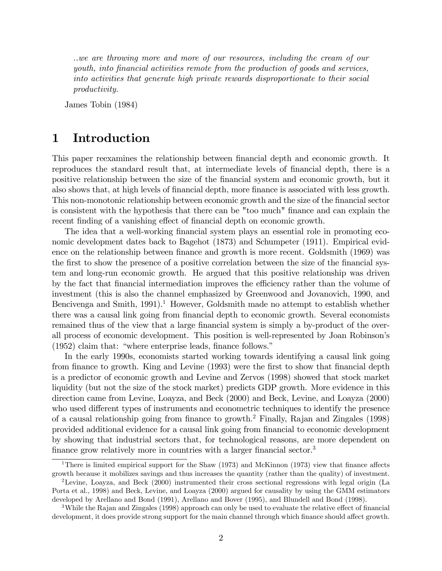..we are throwing more and more of our resources, including the cream of our youth, into Önancial activities remote from the production of goods and services, into activities that generate high private rewards disproportionate to their social productivity.

James Tobin (1984)

# 1 Introduction

This paper reexamines the relationship between financial depth and economic growth. It reproduces the standard result that, at intermediate levels of financial depth, there is a positive relationship between the size of the Önancial system and economic growth, but it also shows that, at high levels of financial depth, more finance is associated with less growth. This non-monotonic relationship between economic growth and the size of the financial sector is consistent with the hypothesis that there can be "too much" finance and can explain the recent finding of a vanishing effect of financial depth on economic growth.

The idea that a well-working financial system plays an essential role in promoting economic development dates back to Bagehot (1873) and Schumpeter (1911). Empirical evidence on the relationship between finance and growth is more recent. Goldsmith (1969) was the first to show the presence of a positive correlation between the size of the financial system and long-run economic growth. He argued that this positive relationship was driven by the fact that financial intermediation improves the efficiency rather than the volume of investment (this is also the channel emphasized by Greenwood and Jovanovich, 1990, and Bencivenga and Smith,  $1991$ .<sup>1</sup> However, Goldsmith made no attempt to establish whether there was a causal link going from financial depth to economic growth. Several economists remained thus of the view that a large financial system is simply a by-product of the overall process of economic development. This position is well-represented by Joan Robinsonís  $(1952)$  claim that: "where enterprise leads, finance follows."

In the early 1990s, economists started working towards identifying a causal link going from finance to growth. King and Levine (1993) were the first to show that financial depth is a predictor of economic growth and Levine and Zervos (1998) showed that stock market liquidity (but not the size of the stock market) predicts GDP growth. More evidence in this direction came from Levine, Loayza, and Beck (2000) and Beck, Levine, and Loayza (2000) who used different types of instruments and econometric techniques to identify the presence of a causal relationship going from finance to growth.<sup>2</sup> Finally, Rajan and Zingales (1998) provided additional evidence for a causal link going from Önancial to economic development by showing that industrial sectors that, for technological reasons, are more dependent on finance grow relatively more in countries with a larger financial sector.<sup>3</sup>

<sup>&</sup>lt;sup>1</sup>There is limited empirical support for the Shaw (1973) and McKinnon (1973) view that finance affects growth because it mobilizes savings and thus increases the quantity (rather than the quality) of investment.

<sup>2</sup>Levine, Loayza, and Beck (2000) instrumented their cross sectional regressions with legal origin (La Porta et al., 1998) and Beck, Levine, and Loayza (2000) argued for causality by using the GMM estimators developed by Arellano and Bond (1991), Arellano and Bover (1995), and Blundell and Bond (1998).

<sup>&</sup>lt;sup>3</sup>While the Rajan and Zingales (1998) approach can only be used to evaluate the relative effect of financial development, it does provide strong support for the main channel through which finance should affect growth.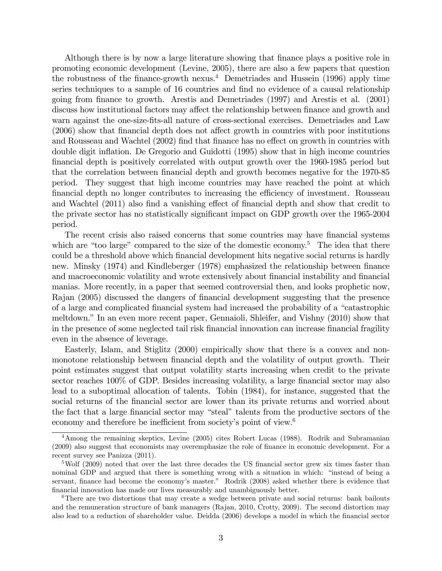Although there is by now a large literature showing that finance plays a positive role in promoting economic development (Levine, 2005), there are also a few papers that question the robustness of the finance-growth nexus.<sup>4</sup> Demetriades and Hussein  $(1996)$  apply time series techniques to a sample of 16 countries and find no evidence of a causal relationship going from Önance to growth. Arestis and Demetriades (1997) and Arestis et al. (2001) discuss how institutional factors may affect the relationship between finance and growth and warn against the one-size-fits-all nature of cross-sectional exercises. Demetriades and Law  $(2006)$  show that financial depth does not affect growth in countries with poor institutions and Rousseau and Wachtel (2002) find that finance has no effect on growth in countries with double digit inflation. De Gregorio and Guidotti (1995) show that in high income countries Önancial depth is positively correlated with output growth over the 1960-1985 period but that the correlation between financial depth and growth becomes negative for the 1970-85 period. They suggest that high income countries may have reached the point at which financial depth no longer contributes to increasing the efficiency of investment. Rousseau and Wachtel (2011) also find a vanishing effect of financial depth and show that credit to the private sector has no statistically significant impact on GDP growth over the 1965-2004 period.

The recent crisis also raised concerns that some countries may have financial systems which are "too large" compared to the size of the domestic economy.<sup>5</sup> The idea that there could be a threshold above which Önancial development hits negative social returns is hardly new. Minsky (1974) and Kindleberger (1978) emphasized the relationship between finance and macroeconomic volatility and wrote extensively about financial instability and financial manias. More recently, in a paper that seemed controversial then, and looks prophetic now, Rajan (2005) discussed the dangers of financial development suggesting that the presence of a large and complicated financial system had increased the probability of a "catastrophic" meltdown." In an even more recent paper, Gennaioli, Shleifer, and Vishny (2010) show that in the presence of some neglected tail risk financial innovation can increase financial fragility even in the absence of leverage.

Easterly, Islam, and Stiglitz (2000) empirically show that there is a convex and nonmonotone relationship between financial depth and the volatility of output growth. Their point estimates suggest that output volatility starts increasing when credit to the private sector reaches 100% of GDP. Besides increasing volatility, a large financial sector may also lead to a suboptimal allocation of talents. Tobin (1984), for instance, suggested that the social returns of the financial sector are lower than its private returns and worried about the fact that a large financial sector may "steal" talents from the productive sectors of the economy and therefore be inefficient from society's point of view. $6$ 

<sup>4</sup>Among the remaining skeptics, Levine (2005) cites Robert Lucas (1988). Rodrik and Subramanian (2009) also suggest that economists may overemphasize the role of finance in economic development. For a recent survey see Panizza (2011).

 $5Wolf (2009)$  noted that over the last three decades the US financial sector grew six times faster than nominal GDP and argued that there is something wrong with a situation in which: "instead of being a servant, finance had become the economy's master." Rodrik (2008) asked whether there is evidence that financial innovation has made our lives measurably and unambiguously better.

<sup>&</sup>lt;sup>6</sup>There are two distortions that may create a wedge between private and social returns: bank bailouts and the remuneration structure of bank managers (Rajan, 2010, Crotty, 2009). The second distortion may also lead to a reduction of shareholder value. Deidda (2006) develops a model in which the financial sector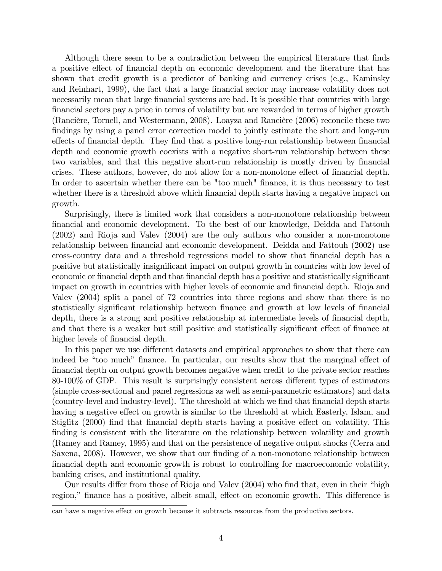Although there seem to be a contradiction between the empirical literature that finds a positive effect of financial depth on economic development and the literature that has shown that credit growth is a predictor of banking and currency crises (e.g., Kaminsky and Reinhart, 1999), the fact that a large financial sector may increase volatility does not necessarily mean that large financial systems are bad. It is possible that countries with large Önancial sectors pay a price in terms of volatility but are rewarded in terms of higher growth (Rancière, Tornell, and Westermann, 2008). Loayza and Rancière (2006) reconcile these two findings by using a panel error correction model to jointly estimate the short and long-run effects of financial depth. They find that a positive long-run relationship between financial depth and economic growth coexists with a negative short-run relationship between these two variables, and that this negative short-run relationship is mostly driven by financial crises. These authors, however, do not allow for a non-monotone effect of financial depth. In order to ascertain whether there can be "too much" finance, it is thus necessary to test whether there is a threshold above which financial depth starts having a negative impact on growth.

Surprisingly, there is limited work that considers a non-monotone relationship between Önancial and economic development. To the best of our knowledge, Deidda and Fattouh (2002) and Rioja and Valev (2004) are the only authors who consider a non-monotone relationship between financial and economic development. Deidda and Fattouh (2002) use cross-country data and a threshold regressions model to show that Önancial depth has a positive but statistically insignificant impact on output growth in countries with low level of economic or financial depth and that financial depth has a positive and statistically significant impact on growth in countries with higher levels of economic and financial depth. Rioja and Valev (2004) split a panel of 72 countries into three regions and show that there is no statistically significant relationship between finance and growth at low levels of financial depth, there is a strong and positive relationship at intermediate levels of financial depth, and that there is a weaker but still positive and statistically significant effect of finance at higher levels of financial depth.

In this paper we use different datasets and empirical approaches to show that there can indeed be "too much" finance. In particular, our results show that the marginal effect of Önancial depth on output growth becomes negative when credit to the private sector reaches 80-100% of GDP. This result is surprisingly consistent across different types of estimators (simple cross-sectional and panel regressions as well as semi-parametric estimators) and data (country-level and industry-level). The threshold at which we find that financial depth starts having a negative effect on growth is similar to the threshold at which Easterly, Islam, and Stiglitz (2000) find that financial depth starts having a positive effect on volatility. This finding is consistent with the literature on the relationship between volatility and growth (Ramey and Ramey, 1995) and that on the persistence of negative output shocks (Cerra and Saxena, 2008). However, we show that our finding of a non-monotone relationship between financial depth and economic growth is robust to controlling for macroeconomic volatility, banking crises, and institutional quality.

Our results differ from those of Rioja and Valev (2004) who find that, even in their "high region," finance has a positive, albeit small, effect on economic growth. This difference is

can have a negative effect on growth because it subtracts resources from the productive sectors.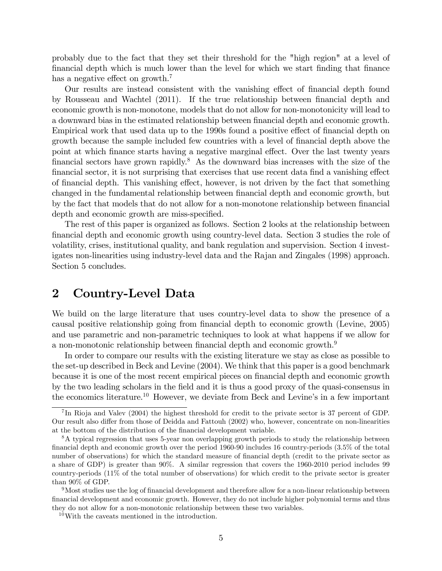probably due to the fact that they set their threshold for the "high region" at a level of Önancial depth which is much lower than the level for which we start Önding that Önance has a negative effect on growth.<sup>7</sup>

Our results are instead consistent with the vanishing effect of financial depth found by Rousseau and Wachtel (2011). If the true relationship between Önancial depth and economic growth is non-monotone, models that do not allow for non-monotonicity will lead to a downward bias in the estimated relationship between financial depth and economic growth. Empirical work that used data up to the 1990s found a positive effect of financial depth on growth because the sample included few countries with a level of financial depth above the point at which finance starts having a negative marginal effect. Over the last twenty years financial sectors have grown rapidly.<sup>8</sup> As the downward bias increases with the size of the financial sector, it is not surprising that exercises that use recent data find a vanishing effect of financial depth. This vanishing effect, however, is not driven by the fact that something changed in the fundamental relationship between financial depth and economic growth, but by the fact that models that do not allow for a non-monotone relationship between financial depth and economic growth are miss-specified.

The rest of this paper is organized as follows. Section 2 looks at the relationship between Önancial depth and economic growth using country-level data. Section 3 studies the role of volatility, crises, institutional quality, and bank regulation and supervision. Section 4 investigates non-linearities using industry-level data and the Rajan and Zingales (1998) approach. Section 5 concludes.

# 2 Country-Level Data

We build on the large literature that uses country-level data to show the presence of a causal positive relationship going from financial depth to economic growth (Levine, 2005) and use parametric and non-parametric techniques to look at what happens if we allow for a non-monotonic relationship between financial depth and economic growth.<sup>9</sup>

In order to compare our results with the existing literature we stay as close as possible to the set-up described in Beck and Levine (2004). We think that this paper is a good benchmark because it is one of the most recent empirical pieces on financial depth and economic growth by the two leading scholars in the Öeld and it is thus a good proxy of the quasi-consensus in the economics literature.<sup>10</sup> However, we deviate from Beck and Levine's in a few important

<sup>&</sup>lt;sup>7</sup>In Rioja and Valev (2004) the highest threshold for credit to the private sector is 37 percent of GDP. Our result also differ from those of Deidda and Fattouh (2002) who, however, concentrate on non-linearities at the bottom of the distribution of the financial development variable.

<sup>8</sup>A typical regression that uses 5-year non overlapping growth periods to study the relationship between financial depth and economic growth over the period 1960-90 includes 16 country-periods (3.5% of the total number of observations) for which the standard measure of financial depth (credit to the private sector as a share of GDP) is greater than 90%. A similar regression that covers the 1960-2010 period includes 99 country-periods (11% of the total number of observations) for which credit to the private sector is greater than 90% of GDP.

 $9$ Most studies use the log of financial development and therefore allow for a non-linear relationship between Önancial development and economic growth. However, they do not include higher polynomial terms and thus they do not allow for a non-monotonic relationship between these two variables.

 $10$ With the caveats mentioned in the introduction.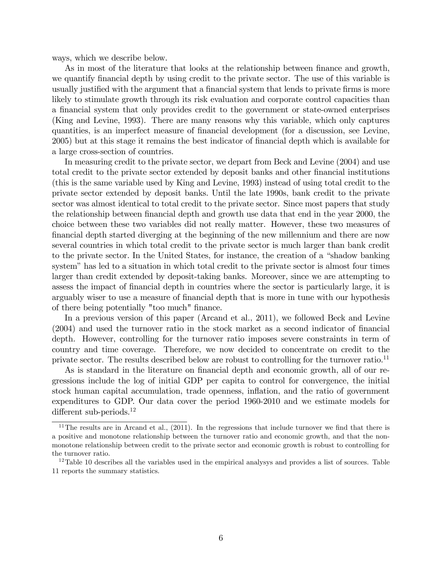ways, which we describe below.

As in most of the literature that looks at the relationship between finance and growth, we quantify financial depth by using credit to the private sector. The use of this variable is usually justified with the argument that a financial system that lends to private firms is more likely to stimulate growth through its risk evaluation and corporate control capacities than a financial system that only provides credit to the government or state-owned enterprises (King and Levine, 1993). There are many reasons why this variable, which only captures quantities, is an imperfect measure of financial development (for a discussion, see Levine, 2005) but at this stage it remains the best indicator of Önancial depth which is available for a large cross-section of countries.

In measuring credit to the private sector, we depart from Beck and Levine (2004) and use total credit to the private sector extended by deposit banks and other financial institutions (this is the same variable used by King and Levine, 1993) instead of using total credit to the private sector extended by deposit banks. Until the late 1990s, bank credit to the private sector was almost identical to total credit to the private sector. Since most papers that study the relationship between financial depth and growth use data that end in the year 2000, the choice between these two variables did not really matter. However, these two measures of Önancial depth started diverging at the beginning of the new millennium and there are now several countries in which total credit to the private sector is much larger than bank credit to the private sector. In the United States, for instance, the creation of a "shadow banking" system" has led to a situation in which total credit to the private sector is almost four times larger than credit extended by deposit-taking banks. Moreover, since we are attempting to assess the impact of financial depth in countries where the sector is particularly large, it is arguably wiser to use a measure of financial depth that is more in tune with our hypothesis of there being potentially "too much" Önance.

In a previous version of this paper (Arcand et al., 2011), we followed Beck and Levine  $(2004)$  and used the turnover ratio in the stock market as a second indicator of financial depth. However, controlling for the turnover ratio imposes severe constraints in term of country and time coverage. Therefore, we now decided to concentrate on credit to the private sector. The results described below are robust to controlling for the turnover ratio.<sup>11</sup>

As is standard in the literature on financial depth and economic growth, all of our regressions include the log of initial GDP per capita to control for convergence, the initial stock human capital accumulation, trade openness, inflation, and the ratio of government expenditures to GDP. Our data cover the period 1960-2010 and we estimate models for different sub-periods.<sup>12</sup>

<sup>&</sup>lt;sup>11</sup>The results are in Arcand et al.,  $(2011)$ . In the regressions that include turnover we find that there is a positive and monotone relationship between the turnover ratio and economic growth, and that the nonmonotone relationship between credit to the private sector and economic growth is robust to controlling for the turnover ratio.

 $12$ Table 10 describes all the variables used in the empirical analysys and provides a list of sources. Table 11 reports the summary statistics.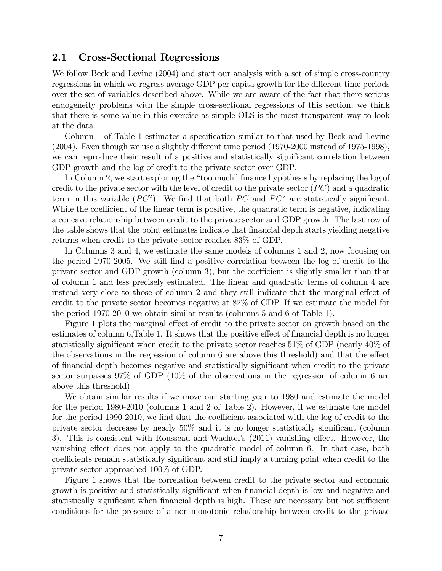## 2.1 Cross-Sectional Regressions

We follow Beck and Levine (2004) and start our analysis with a set of simple cross-country regressions in which we regress average GDP per capita growth for the different time periods over the set of variables described above. While we are aware of the fact that there serious endogeneity problems with the simple cross-sectional regressions of this section, we think that there is some value in this exercise as simple OLS is the most transparent way to look at the data.

Column 1 of Table 1 estimates a specification similar to that used by Beck and Levine  $(2004)$ . Even though we use a slightly different time period  $(1970-2000$  instead of 1975-1998), we can reproduce their result of a positive and statistically significant correlation between GDP growth and the log of credit to the private sector over GDP.

In Column 2, we start exploring the "too much" finance hypothesis by replacing the log of credit to the private sector with the level of credit to the private sector  $(PC)$  and a quadratic term in this variable  $(PC^2)$ . We find that both PC and PC<sup>2</sup> are statistically significant. While the coefficient of the linear term is positive, the quadratic term is negative, indicating a concave relationship between credit to the private sector and GDP growth. The last row of the table shows that the point estimates indicate that financial depth starts yielding negative returns when credit to the private sector reaches 83% of GDP.

In Columns 3 and 4, we estimate the same models of columns 1 and 2, now focusing on the period 1970-2005. We still Önd a positive correlation between the log of credit to the private sector and GDP growth (column 3), but the coefficient is slightly smaller than that of column 1 and less precisely estimated. The linear and quadratic terms of column 4 are instead very close to those of column 2 and they still indicate that the marginal effect of credit to the private sector becomes negative at 82% of GDP. If we estimate the model for the period 1970-2010 we obtain similar results (columns 5 and 6 of Table 1).

Figure 1 plots the marginal effect of credit to the private sector on growth based on the estimates of column 6,Table 1. It shows that the positive effect of financial depth is no longer statistically significant when credit to the private sector reaches  $51\%$  of GDP (nearly  $40\%$  of the observations in the regression of column  $6$  are above this threshold) and that the effect of Önancial depth becomes negative and statistically signiÖcant when credit to the private sector surpasses 97% of GDP (10% of the observations in the regression of column 6 are above this threshold).

We obtain similar results if we move our starting year to 1980 and estimate the model for the period 1980-2010 (columns 1 and 2 of Table 2). However, if we estimate the model for the period 1990-2010, we find that the coefficient associated with the log of credit to the private sector decrease by nearly  $50\%$  and it is no longer statistically significant (column 3). This is consistent with Rousseau and Wachtel's  $(2011)$  vanishing effect. However, the vanishing effect does not apply to the quadratic model of column 6. In that case, both coefficients remain statistically significant and still imply a turning point when credit to the private sector approached 100% of GDP.

Figure 1 shows that the correlation between credit to the private sector and economic growth is positive and statistically significant when financial depth is low and negative and statistically significant when financial depth is high. These are necessary but not sufficient conditions for the presence of a non-monotonic relationship between credit to the private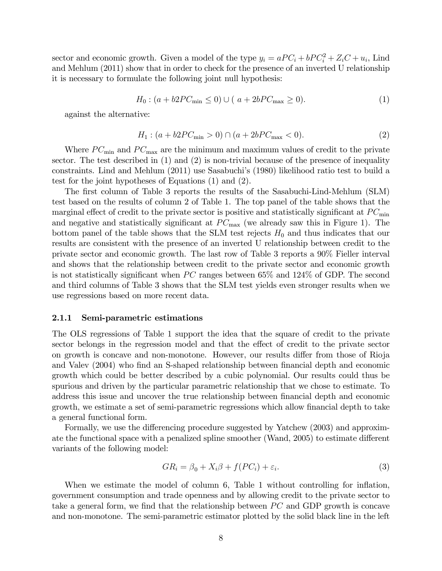sector and economic growth. Given a model of the type  $y_i = aPC_i + bPC_i^2 + Z_iC + u_i$ , Lind and Mehlum (2011) show that in order to check for the presence of an inverted U relationship it is necessary to formulate the following joint null hypothesis:

$$
H_0: (a + b2PC_{\min} \le 0) \cup (a + 2bPC_{\max} \ge 0).
$$
 (1)

against the alternative:

$$
H_1: (a + b2PC_{\min} > 0) \cap (a + 2bPC_{\max} < 0). \tag{2}
$$

Where  $PC_{\text{min}}$  and  $PC_{\text{max}}$  are the minimum and maximum values of credit to the private sector. The test described in  $(1)$  and  $(2)$  is non-trivial because of the presence of inequality constraints. Lind and Mehlum (2011) use Sasabuchi's (1980) likelihood ratio test to build a test for the joint hypotheses of Equations (1) and (2).

The first column of Table 3 reports the results of the Sasabuchi-Lind-Mehlum (SLM) test based on the results of column 2 of Table 1. The top panel of the table shows that the marginal effect of credit to the private sector is positive and statistically significant at  $PC_{\text{min}}$ and negative and statistically significant at  $PC_{\text{max}}$  (we already saw this in Figure 1). The bottom panel of the table shows that the SLM test rejects  $H_0$  and thus indicates that our results are consistent with the presence of an inverted U relationship between credit to the private sector and economic growth. The last row of Table 3 reports a 90% Fieller interval and shows that the relationship between credit to the private sector and economic growth is not statistically significant when PC ranges between  $65\%$  and  $124\%$  of GDP. The second and third columns of Table 3 shows that the SLM test yields even stronger results when we use regressions based on more recent data.

#### 2.1.1 Semi-parametric estimations

The OLS regressions of Table 1 support the idea that the square of credit to the private sector belongs in the regression model and that the effect of credit to the private sector on growth is concave and non-monotone. However, our results differ from those of Rioja and Valev (2004) who find an S-shaped relationship between financial depth and economic growth which could be better described by a cubic polynomial. Our results could thus be spurious and driven by the particular parametric relationship that we chose to estimate. To address this issue and uncover the true relationship between financial depth and economic growth, we estimate a set of semi-parametric regressions which allow financial depth to take a general functional form.

Formally, we use the differencing procedure suggested by Yatchew (2003) and approximate the functional space with a penalized spline smoother (Wand, 2005) to estimate different variants of the following model:

$$
GR_i = \beta_0 + X_i \beta + f(PC_i) + \varepsilon_i.
$$
\n(3)

When we estimate the model of column 6, Table 1 without controlling for inflation, government consumption and trade openness and by allowing credit to the private sector to take a general form, we find that the relationship between  $\overline{PC}$  and GDP growth is concave and non-monotone. The semi-parametric estimator plotted by the solid black line in the left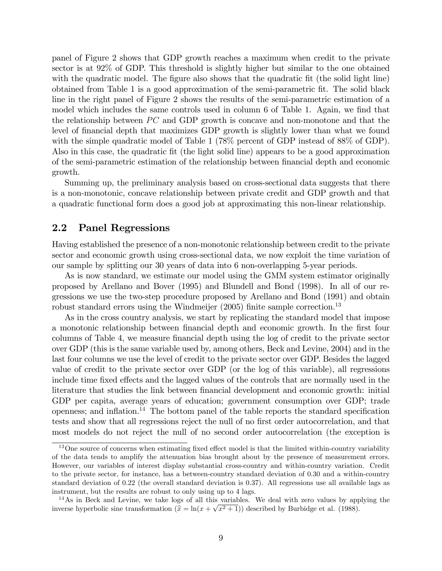panel of Figure 2 shows that GDP growth reaches a maximum when credit to the private sector is at 92% of GDP. This threshold is slightly higher but similar to the one obtained with the quadratic model. The figure also shows that the quadratic fit (the solid light line) obtained from Table 1 is a good approximation of the semi-parametric Öt. The solid black line in the right panel of Figure 2 shows the results of the semi-parametric estimation of a model which includes the same controls used in column 6 of Table 1. Again, we find that the relationship between  $\overline{PC}$  and GDP growth is concave and non-monotone and that the level of financial depth that maximizes GDP growth is slightly lower than what we found with the simple quadratic model of Table 1 (78% percent of GDP instead of 88% of GDP). Also in this case, the quadratic Öt (the light solid line) appears to be a good approximation of the semi-parametric estimation of the relationship between Önancial depth and economic growth.

Summing up, the preliminary analysis based on cross-sectional data suggests that there is a non-monotonic, concave relationship between private credit and GDP growth and that a quadratic functional form does a good job at approximating this non-linear relationship.

## 2.2 Panel Regressions

Having established the presence of a non-monotonic relationship between credit to the private sector and economic growth using cross-sectional data, we now exploit the time variation of our sample by splitting our 30 years of data into 6 non-overlapping 5-year periods.

As is now standard, we estimate our model using the GMM system estimator originally proposed by Arellano and Bover (1995) and Blundell and Bond (1998). In all of our regressions we use the two-step procedure proposed by Arellano and Bond (1991) and obtain robust standard errors using the Windmeijer (2005) finite sample correction.<sup>13</sup>

As in the cross country analysis, we start by replicating the standard model that impose a monotonic relationship between financial depth and economic growth. In the first four columns of Table 4, we measure financial depth using the log of credit to the private sector over GDP (this is the same variable used by, among others, Beck and Levine, 2004) and in the last four columns we use the level of credit to the private sector over GDP. Besides the lagged value of credit to the private sector over GDP (or the log of this variable), all regressions include time fixed effects and the lagged values of the controls that are normally used in the literature that studies the link between financial development and economic growth: initial GDP per capita, average years of education; government consumption over GDP; trade openness; and inflation.<sup>14</sup> The bottom panel of the table reports the standard specification tests and show that all regressions reject the null of no first order autocorrelation, and that most models do not reject the null of no second order autocorrelation (the exception is

 $13$ One source of concerns when estimating fixed effect model is that the limited within-country variability of the data tends to amplify the attenuation bias brought about by the presence of measurement errors. However, our variables of interest display substantial cross-country and within-country variation. Credit to the private sector, for instance, has a between-country standard deviation of 0.30 and a within-country standard deviation of 0.22 (the overall standard deviation is 0.37). All regressions use all available lags as instrument, but the results are robust to only using up to 4 lags.

 $14$ As in Beck and Levine, we take logs of all this variables. We deal with zero values by applying the inverse hyperbolic sine transformation  $(\hat{x} = \ln(x + \sqrt{x^2 + 1}))$  described by Burbidge et al. (1988).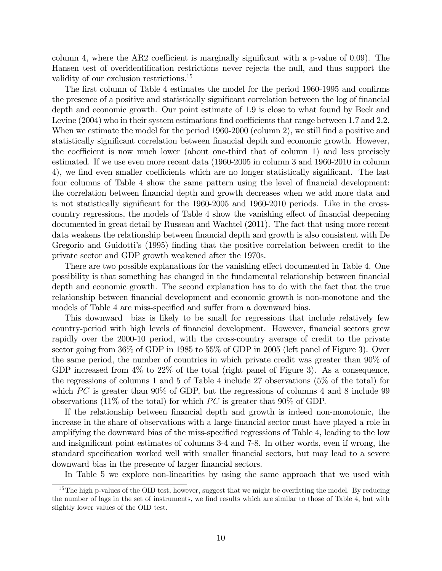column 4, where the AR2 coefficient is marginally significant with a p-value of  $0.09$ ). The Hansen test of overidentification restrictions never rejects the null, and thus support the validity of our exclusion restrictions.<sup>15</sup>

The first column of Table 4 estimates the model for the period 1960-1995 and confirms the presence of a positive and statistically significant correlation between the log of financial depth and economic growth. Our point estimate of 1.9 is close to what found by Beck and Levine  $(2004)$  who in their system estimations find coefficients that range between 1.7 and 2.2. When we estimate the model for the period 1960-2000 (column 2), we still find a positive and statistically significant correlation between financial depth and economic growth. However, the coefficient is now much lower (about one-third that of column 1) and less precisely estimated. If we use even more recent data (1960-2005 in column 3 and 1960-2010 in column 4), we find even smaller coefficients which are no longer statistically significant. The last four columns of Table 4 show the same pattern using the level of financial development: the correlation between financial depth and growth decreases when we add more data and is not statistically significant for the 1960-2005 and 1960-2010 periods. Like in the crosscountry regressions, the models of Table 4 show the vanishing effect of financial deepening documented in great detail by Russeau and Wachtel (2011). The fact that using more recent data weakens the relationship between financial depth and growth is also consistent with De Gregorio and Guidotti's (1995) finding that the positive correlation between credit to the private sector and GDP growth weakened after the 1970s.

There are two possible explanations for the vanishing effect documented in Table 4. One possibility is that something has changed in the fundamental relationship between financial depth and economic growth. The second explanation has to do with the fact that the true relationship between financial development and economic growth is non-monotone and the models of Table 4 are miss-specified and suffer from a downward bias.

This downward bias is likely to be small for regressions that include relatively few country-period with high levels of financial development. However, financial sectors grew rapidly over the 2000-10 period, with the cross-country average of credit to the private sector going from 36% of GDP in 1985 to 55% of GDP in 2005 (left panel of Figure 3). Over the same period, the number of countries in which private credit was greater than 90% of GDP increased from  $4\%$  to  $22\%$  of the total (right panel of Figure 3). As a consequence, the regressions of columns 1 and 5 of Table 4 include 27 observations (5% of the total) for which  $PC$  is greater than 90% of GDP, but the regressions of columns 4 and 8 include 99 observations (11% of the total) for which  $PC$  is greater that 90% of GDP.

If the relationship between financial depth and growth is indeed non-monotonic, the increase in the share of observations with a large financial sector must have played a role in amplifying the downward bias of the miss-specified regressions of Table 4, leading to the low and insignificant point estimates of columns 3-4 and 7-8. In other words, even if wrong, the standard specification worked well with smaller financial sectors, but may lead to a severe downward bias in the presence of larger financial sectors.

In Table 5 we explore non-linearities by using the same approach that we used with

<sup>&</sup>lt;sup>15</sup>The high p-values of the OID test, however, suggest that we might be overfitting the model. By reducing the number of lags in the set of instruments, we find results which are similar to those of Table 4, but with slightly lower values of the OID test.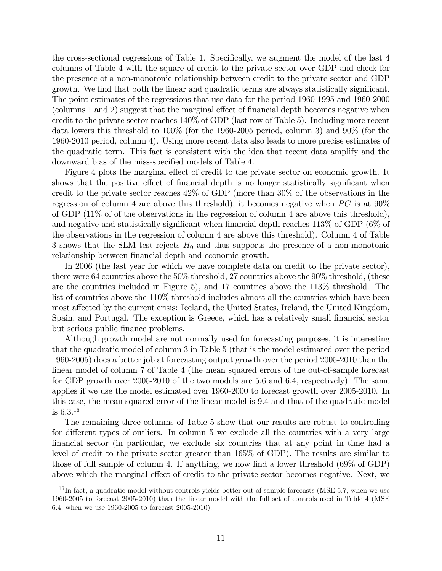the cross-sectional regressions of Table 1. Specifically, we augment the model of the last 4 columns of Table 4 with the square of credit to the private sector over GDP and check for the presence of a non-monotonic relationship between credit to the private sector and GDP growth. We find that both the linear and quadratic terms are always statistically significant. The point estimates of the regressions that use data for the period 1960-1995 and 1960-2000 (columns 1 and 2) suggest that the marginal effect of financial depth becomes negative when credit to the private sector reaches 140% of GDP (last row of Table 5). Including more recent data lowers this threshold to 100% (for the 1960-2005 period, column 3) and 90% (for the 1960-2010 period, column 4). Using more recent data also leads to more precise estimates of the quadratic term. This fact is consistent with the idea that recent data amplify and the downward bias of the miss-specified models of Table 4.

Figure 4 plots the marginal effect of credit to the private sector on economic growth. It shows that the positive effect of financial depth is no longer statistically significant when credit to the private sector reaches 42% of GDP (more than 30% of the observations in the regression of column 4 are above this threshold), it becomes negative when  $PC$  is at  $90\%$ of GDP (11% of of the observations in the regression of column 4 are above this threshold), and negative and statistically significant when financial depth reaches  $113\%$  of GDP (6% of the observations in the regression of column 4 are above this threshold). Column 4 of Table 3 shows that the SLM test rejects  $H_0$  and thus supports the presence of a non-monotonic relationship between financial depth and economic growth.

In 2006 (the last year for which we have complete data on credit to the private sector), there were 64 countries above the 50% threshold, 27 countries above the 90% threshold, (these are the countries included in Figure 5), and 17 countries above the 113% threshold. The list of countries above the 110% threshold includes almost all the countries which have been most affected by the current crisis: Iceland, the United States, Ireland, the United Kingdom, Spain, and Portugal. The exception is Greece, which has a relatively small financial sector but serious public finance problems.

Although growth model are not normally used for forecasting purposes, it is interesting that the quadratic model of column 3 in Table 5 (that is the model estimated over the period 1960-2005) does a better job at forecasting output growth over the period 2005-2010 than the linear model of column 7 of Table 4 (the mean squared errors of the out-of-sample forecast for GDP growth over 2005-2010 of the two models are 5.6 and 6.4, respectively). The same applies if we use the model estimated over 1960-2000 to forecast growth over 2005-2010. In this case, the mean squared error of the linear model is 9.4 and that of the quadratic model is  $6.3^{16}$ 

The remaining three columns of Table 5 show that our results are robust to controlling for different types of outliers. In column 5 we exclude all the countries with a very large Önancial sector (in particular, we exclude six countries that at any point in time had a level of credit to the private sector greater than 165% of GDP). The results are similar to those of full sample of column 4. If anything, we now find a lower threshold  $(69\% \text{ of GDP})$ above which the marginal effect of credit to the private sector becomes negative. Next, we

 $^{16}$ In fact, a quadratic model without controls yields better out of sample forecasts (MSE 5.7, when we use 1960-2005 to forecast 2005-2010) than the linear model with the full set of controls used in Table 4 (MSE 6.4, when we use 1960-2005 to forecast 2005-2010).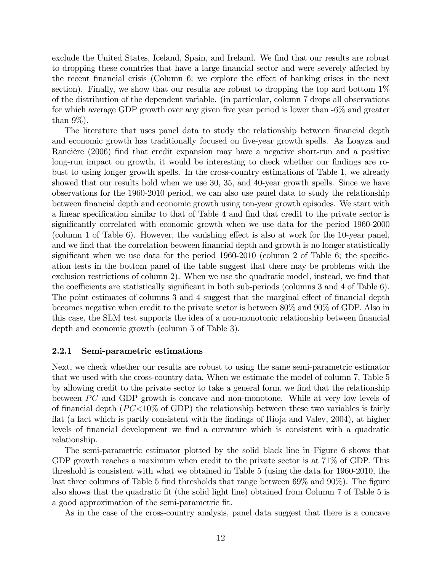exclude the United States, Iceland, Spain, and Ireland. We find that our results are robust to dropping these countries that have a large financial sector and were severely affected by the recent financial crisis (Column 6; we explore the effect of banking crises in the next section). Finally, we show that our results are robust to dropping the top and bottom 1% of the distribution of the dependent variable. (in particular, column 7 drops all observations for which average GDP growth over any given five year period is lower than  $-6\%$  and greater than  $9\%$ ).

The literature that uses panel data to study the relationship between financial depth and economic growth has traditionally focused on five-year growth spells. As Loayza and Rancière (2006) find that credit expansion may have a negative short-run and a positive long-run impact on growth, it would be interesting to check whether our findings are robust to using longer growth spells. In the cross-country estimations of Table 1, we already showed that our results hold when we use 30, 35, and 40-year growth spells. Since we have observations for the 1960-2010 period, we can also use panel data to study the relationship between financial depth and economic growth using ten-year growth episodes. We start with a linear specification similar to that of Table 4 and find that credit to the private sector is significantly correlated with economic growth when we use data for the period 1960-2000 (column 1 of Table 6). However, the vanishing effect is also at work for the  $10$ -year panel, and we find that the correlation between financial depth and growth is no longer statistically significant when we use data for the period  $1960-2010$  (column 2 of Table 6; the specification tests in the bottom panel of the table suggest that there may be problems with the exclusion restrictions of column 2). When we use the quadratic model, instead, we find that the coefficients are statistically significant in both sub-periods (columns  $3$  and  $4$  of Table  $6$ ). The point estimates of columns 3 and 4 suggest that the marginal effect of financial depth becomes negative when credit to the private sector is between 80% and 90% of GDP. Also in this case, the SLM test supports the idea of a non-monotonic relationship between financial depth and economic growth (column 5 of Table 3).

#### 2.2.1 Semi-parametric estimations

Next, we check whether our results are robust to using the same semi-parametric estimator that we used with the cross-country data. When we estimate the model of column 7, Table 5 by allowing credit to the private sector to take a general form, we find that the relationship between  $\overline{PC}$  and GDP growth is concave and non-monotone. While at very low levels of of financial depth  $(PC<10\%$  of GDP) the relationship between these two variables is fairly flat (a fact which is partly consistent with the findings of Rioja and Valev, 2004), at higher levels of financial development we find a curvature which is consistent with a quadratic relationship.

The semi-parametric estimator plotted by the solid black line in Figure 6 shows that GDP growth reaches a maximum when credit to the private sector is at 71% of GDP. This threshold is consistent with what we obtained in Table 5 (using the data for 1960-2010, the last three columns of Table 5 find thresholds that range between  $69\%$  and  $90\%$ ). The figure also shows that the quadratic Öt (the solid light line) obtained from Column 7 of Table 5 is a good approximation of the semi-parametric Öt.

As in the case of the cross-country analysis, panel data suggest that there is a concave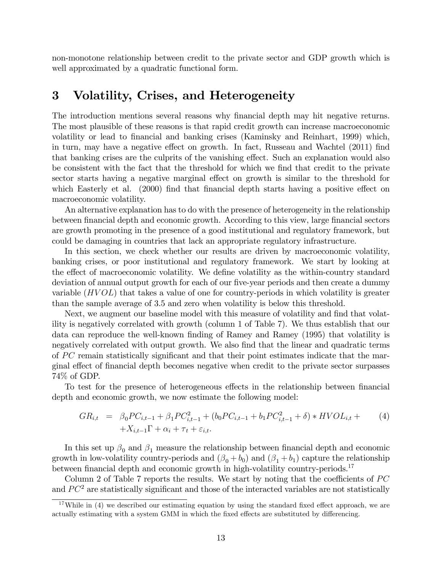non-monotone relationship between credit to the private sector and GDP growth which is well approximated by a quadratic functional form.

# 3 Volatility, Crises, and Heterogeneity

The introduction mentions several reasons why financial depth may hit negative returns. The most plausible of these reasons is that rapid credit growth can increase macroeconomic volatility or lead to financial and banking crises (Kaminsky and Reinhart, 1999) which, in turn, may have a negative effect on growth. In fact, Russeau and Wachtel (2011) find that banking crises are the culprits of the vanishing effect. Such an explanation would also be consistent with the fact that the threshold for which we find that credit to the private sector starts having a negative marginal effect on growth is similar to the threshold for which Easterly et al. (2000) find that financial depth starts having a positive effect on macroeconomic volatility.

An alternative explanation has to do with the presence of heterogeneity in the relationship between financial depth and economic growth. According to this view, large financial sectors are growth promoting in the presence of a good institutional and regulatory framework, but could be damaging in countries that lack an appropriate regulatory infrastructure.

In this section, we check whether our results are driven by macroeconomic volatility, banking crises, or poor institutional and regulatory framework. We start by looking at the effect of macroeconomic volatility. We define volatility as the within-country standard deviation of annual output growth for each of our five-year periods and then create a dummy variable  $(HVOL)$  that takes a value of one for country-periods in which volatility is greater than the sample average of 3.5 and zero when volatility is below this threshold.

Next, we augment our baseline model with this measure of volatility and find that volatility is negatively correlated with growth (column 1 of Table 7). We thus establish that our data can reproduce the well-known finding of Ramey and Ramey (1995) that volatility is negatively correlated with output growth. We also find that the linear and quadratic terms of  $PC$  remain statistically significant and that their point estimates indicate that the marginal effect of financial depth becomes negative when credit to the private sector surpasses 74% of GDP.

To test for the presence of heterogeneous effects in the relationship between financial depth and economic growth, we now estimate the following model:

$$
GR_{i,t} = \beta_0 PC_{i,t-1} + \beta_1 PC_{i,t-1}^2 + (b_0 PC_{i,t-1} + b_1 PC_{i,t-1}^2 + \delta) * HVOL_{i,t} +
$$
  
+
$$
X_{i,t-1} \Gamma + \alpha_i + \tau_t + \varepsilon_{i,t}.
$$
 (4)

In this set up  $\beta_0$  and  $\beta_1$  measure the relationship between financial depth and economic growth in low-volatility country-periods and  $(\beta_0 + b_0)$  and  $(\beta_1 + b_1)$  capture the relationship between financial depth and economic growth in high-volatility country-periods.<sup>17</sup>

Column 2 of Table 7 reports the results. We start by noting that the coefficients of  $PC$ and  $PC<sup>2</sup>$  are statistically significant and those of the interacted variables are not statistically

<sup>&</sup>lt;sup>17</sup>While in (4) we described our estimating equation by using the standard fixed effect approach, we are actually estimating with a system GMM in which the fixed effects are substituted by differencing.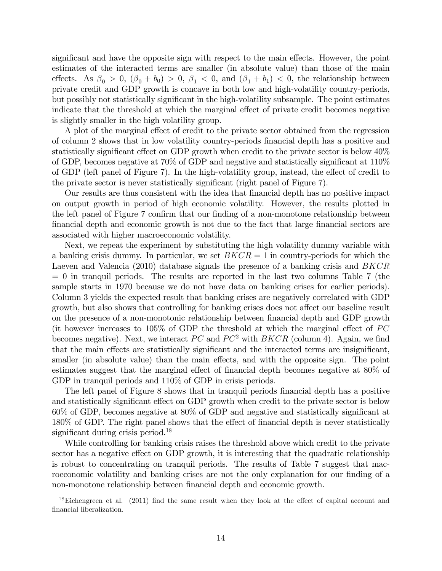significant and have the opposite sign with respect to the main effects. However, the point estimates of the interacted terms are smaller (in absolute value) than those of the main effects. As  $\beta_0 > 0$ ,  $(\beta_0 + b_0) > 0$ ,  $\beta_1 < 0$ , and  $(\beta_1 + b_1) < 0$ , the relationship between private credit and GDP growth is concave in both low and high-volatility country-periods, but possibly not statistically significant in the high-volatility subsample. The point estimates indicate that the threshold at which the marginal effect of private credit becomes negative is slightly smaller in the high volatility group.

A plot of the marginal effect of credit to the private sector obtained from the regression of column 2 shows that in low volatility country-periods Önancial depth has a positive and statistically significant effect on GDP growth when credit to the private sector is below 40% of GDP, becomes negative at  $70\%$  of GDP and negative and statistically significant at  $110\%$ of GDP (left panel of Figure 7). In the high-volatility group, instead, the effect of credit to the private sector is never statistically significant (right panel of Figure  $7$ ).

Our results are thus consistent with the idea that Önancial depth has no positive impact on output growth in period of high economic volatility. However, the results plotted in the left panel of Figure 7 confirm that our finding of a non-monotone relationship between financial depth and economic growth is not due to the fact that large financial sectors are associated with higher macroeconomic volatility.

Next, we repeat the experiment by substituting the high volatility dummy variable with a banking crisis dummy. In particular, we set  $B KCR = 1$  in country-periods for which the Laeven and Valencia (2010) database signals the presence of a banking crisis and BKCR  $= 0$  in tranquil periods. The results are reported in the last two columns Table 7 (the sample starts in 1970 because we do not have data on banking crises for earlier periods). Column 3 yields the expected result that banking crises are negatively correlated with GDP growth, but also shows that controlling for banking crises does not affect our baseline result on the presence of a non-monotonic relationship between financial depth and GDP growth (it however increases to 105\% of GDP the threshold at which the marginal effect of  $PC$ becomes negative). Next, we interact  $PC$  and  $PC^2$  with  $BKCR$  (column 4). Again, we find that the main effects are statistically significant and the interacted terms are insignificant, smaller (in absolute value) than the main effects, and with the opposite sign. The point estimates suggest that the marginal effect of financial depth becomes negative at  $80\%$  of GDP in tranquil periods and  $110\%$  of GDP in crisis periods.

The left panel of Figure 8 shows that in tranquil periods financial depth has a positive and statistically significant effect on GDP growth when credit to the private sector is below  $60\%$  of GDP, becomes negative at  $80\%$  of GDP and negative and statistically significant at  $180\%$  of GDP. The right panel shows that the effect of financial depth is never statistically significant during crisis period.<sup>18</sup>

While controlling for banking crisis raises the threshold above which credit to the private sector has a negative effect on GDP growth, it is interesting that the quadratic relationship is robust to concentrating on tranquil periods. The results of Table 7 suggest that macroeconomic volatility and banking crises are not the only explanation for our finding of a non-monotone relationship between financial depth and economic growth.

 $18$ Eichengreen et al. (2011) find the same result when they look at the effect of capital account and financial liberalization.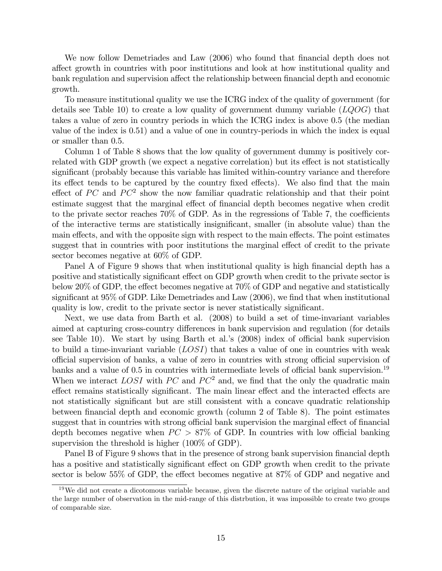We now follow Demetriades and Law (2006) who found that financial depth does not a§ect growth in countries with poor institutions and look at how institutional quality and bank regulation and supervision affect the relationship between financial depth and economic growth.

To measure institutional quality we use the ICRG index of the quality of government (for details see Table 10) to create a low quality of government dummy variable  $(LQOG)$  that takes a value of zero in country periods in which the ICRG index is above 0.5 (the median value of the index is 0.51) and a value of one in country-periods in which the index is equal or smaller than 0.5.

Column 1 of Table 8 shows that the low quality of government dummy is positively correlated with GDP growth (we expect a negative correlation) but its effect is not statistically significant (probably because this variable has limited within-country variance and therefore its effect tends to be captured by the country fixed effects). We also find that the main effect of PC and  $PC^2$  show the now familiar quadratic relationship and that their point estimate suggest that the marginal effect of financial depth becomes negative when credit to the private sector reaches  $70\%$  of GDP. As in the regressions of Table 7, the coefficients of the interactive terms are statistically insigniÖcant, smaller (in absolute value) than the main effects, and with the opposite sign with respect to the main effects. The point estimates suggest that in countries with poor institutions the marginal effect of credit to the private sector becomes negative at 60% of GDP.

Panel A of Figure 9 shows that when institutional quality is high financial depth has a positive and statistically significant effect on GDP growth when credit to the private sector is below 20% of GDP, the effect becomes negative at  $70\%$  of GDP and negative and statistically significant at  $95\%$  of GDP. Like Demetriades and Law  $(2006)$ , we find that when institutional quality is low, credit to the private sector is never statistically significant.

Next, we use data from Barth et al. (2008) to build a set of time-invariant variables aimed at capturing cross-country differences in bank supervision and regulation (for details see Table 10). We start by using Barth et al.'s  $(2008)$  index of official bank supervision to build a time-invariant variable  $(LOSI)$  that takes a value of one in countries with weak official supervision of banks, a value of zero in countries with strong official supervision of banks and a value of  $0.5$  in countries with intermediate levels of official bank supervision.<sup>19</sup> When we interact LOSI with PC and  $PC^2$  and, we find that the only the quadratic main effect remains statistically significant. The main linear effect and the interacted effects are not statistically significant but are still consistent with a concave quadratic relationship between financial depth and economic growth (column 2 of Table 8). The point estimates suggest that in countries with strong official bank supervision the marginal effect of financial depth becomes negative when  $PC > 87\%$  of GDP. In countries with low official banking supervision the threshold is higher (100% of GDP).

Panel B of Figure 9 shows that in the presence of strong bank supervision financial depth has a positive and statistically significant effect on GDP growth when credit to the private sector is below  $55\%$  of GDP, the effect becomes negative at  $87\%$  of GDP and negative and

<sup>&</sup>lt;sup>19</sup>We did not create a dicotomous variable because, given the discrete nature of the original variable and the large number of observation in the mid-range of this distrbution, it was impossible to create two groups of comparable size.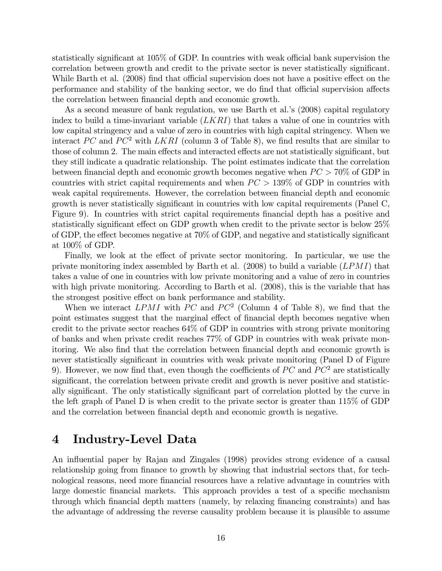statistically significant at  $105\%$  of GDP. In countries with weak official bank supervision the correlation between growth and credit to the private sector is never statistically significant. While Barth et al. (2008) find that official supervision does not have a positive effect on the performance and stability of the banking sector, we do find that official supervision affects the correlation between financial depth and economic growth.

As a second measure of bank regulation, we use Barth et al.'s (2008) capital regulatory index to build a time-invariant variable  $(LKRI)$  that takes a value of one in countries with low capital stringency and a value of zero in countries with high capital stringency. When we interact PC and PC<sup>2</sup> with LKRI (column 3 of Table 8), we find results that are similar to those of column 2. The main effects and interacted effects are not statistically significant, but they still indicate a quadratic relationship. The point estimates indicate that the correlation between financial depth and economic growth becomes negative when  $PC > 70\%$  of GDP in countries with strict capital requirements and when  $PC > 139\%$  of GDP in countries with weak capital requirements. However, the correlation between financial depth and economic growth is never statistically significant in countries with low capital requirements (Panel C, Figure 9). In countries with strict capital requirements financial depth has a positive and statistically significant effect on GDP growth when credit to the private sector is below  $25\%$ of GDP, the effect becomes negative at  $70\%$  of GDP, and negative and statistically significant at 100% of GDP.

Finally, we look at the effect of private sector monitoring. In particular, we use the private monitoring index assembled by Barth et al.  $(2008)$  to build a variable  $(LPMI)$  that takes a value of one in countries with low private monitoring and a value of zero in countries with high private monitoring. According to Barth et al. (2008), this is the variable that has the strongest positive effect on bank performance and stability.

When we interact  $LPMI$  with PC and PC<sup>2</sup> (Column 4 of Table 8), we find that the point estimates suggest that the marginal effect of financial depth becomes negative when credit to the private sector reaches 64% of GDP in countries with strong private monitoring of banks and when private credit reaches 77% of GDP in countries with weak private monitoring. We also find that the correlation between financial depth and economic growth is never statistically significant in countries with weak private monitoring (Panel D of Figure 9). However, we now find that, even though the coefficients of  $PC$  and  $PC^2$  are statistically significant, the correlation between private credit and growth is never positive and statistically significant. The only statistically significant part of correlation plotted by the curve in the left graph of Panel D is when credit to the private sector is greater than 115% of GDP and the correlation between financial depth and economic growth is negative.

# 4 Industry-Level Data

An influential paper by Rajan and Zingales (1998) provides strong evidence of a causal relationship going from finance to growth by showing that industrial sectors that, for technological reasons, need more Önancial resources have a relative advantage in countries with large domestic financial markets. This approach provides a test of a specific mechanism through which Önancial depth matters (namely, by relaxing Önancing constraints) and has the advantage of addressing the reverse causality problem because it is plausible to assume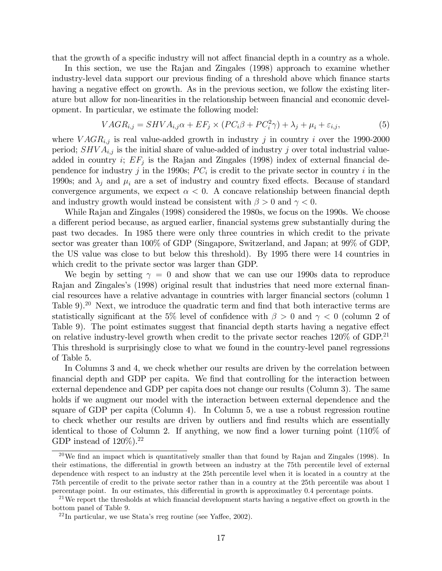that the growth of a specific industry will not affect financial depth in a country as a whole.

In this section, we use the Rajan and Zingales (1998) approach to examine whether industry-level data support our previous finding of a threshold above which finance starts having a negative effect on growth. As in the previous section, we follow the existing literature but allow for non-linearities in the relationship between financial and economic development. In particular, we estimate the following model:

$$
VAGR_{i,j} = SHVA_{i,j}\alpha + EF_j \times (PC_i\beta + PC_i^2\gamma) + \lambda_j + \mu_i + \varepsilon_{i,j},\tag{5}
$$

where  $VAGR_{i,j}$  is real value-added growth in industry j in country i over the 1990-2000 period;  $SHVA_{i,j}$  is the initial share of value-added of industry j over total industrial valueadded in country *i*;  $EF_j$  is the Rajan and Zingales (1998) index of external financial dependence for industry j in the 1990s;  $PC_i$  is credit to the private sector in country i in the 1990s; and  $\lambda_j$  and  $\mu_i$  are a set of industry and country fixed effects. Because of standard convergence arguments, we expect  $\alpha < 0$ . A concave relationship between financial depth and industry growth would instead be consistent with  $\beta > 0$  and  $\gamma < 0$ .

While Rajan and Zingales (1998) considered the 1980s, we focus on the 1990s. We choose a different period because, as argued earlier, financial systems grew substantially during the past two decades. In 1985 there were only three countries in which credit to the private sector was greater than 100% of GDP (Singapore, Switzerland, and Japan; at 99% of GDP, the US value was close to but below this threshold). By 1995 there were 14 countries in which credit to the private sector was larger than GDP.

We begin by setting  $\gamma = 0$  and show that we can use our 1990s data to reproduce Rajan and Zingales's (1998) original result that industries that need more external financial resources have a relative advantage in countries with larger Önancial sectors (column 1 Table  $9$ ).<sup>20</sup> Next, we introduce the quadratic term and find that both interactive terms are statistically significant at the 5% level of confidence with  $\beta > 0$  and  $\gamma < 0$  (column 2 of Table 9). The point estimates suggest that financial depth starts having a negative effect on relative industry-level growth when credit to the private sector reaches  $120\%$  of GDP.<sup>21</sup> This threshold is surprisingly close to what we found in the country-level panel regressions of Table 5.

In Columns 3 and 4, we check whether our results are driven by the correlation between Önancial depth and GDP per capita. We Önd that controlling for the interaction between external dependence and GDP per capita does not change our results (Column 3). The same holds if we augment our model with the interaction between external dependence and the square of GDP per capita (Column 4). In Column 5, we a use a robust regression routine to check whether our results are driven by outliers and Önd results which are essentially identical to those of Column 2. If anything, we now find a lower turning point  $(110\% \text{ of }$ GDP instead of  $120\%$ ).<sup>22</sup>

 $^{20}$ We find an impact which is quantitatively smaller than that found by Rajan and Zingales (1998). In their estimations, the differential in growth between an industry at the 75th percentile level of external dependence with respect to an industry at the 25th percentile level when it is located in a country at the 75th percentile of credit to the private sector rather than in a country at the 25th percentile was about 1 percentage point. In our estimates, this differential in growth is approximatley 0.4 percentage points.

 $21$ We report the thresholds at which financial development starts having a negative effect on growth in the bottom panel of Table 9.

 $^{22}$ In particular, we use Stata's rreg routine (see Yaffee, 2002).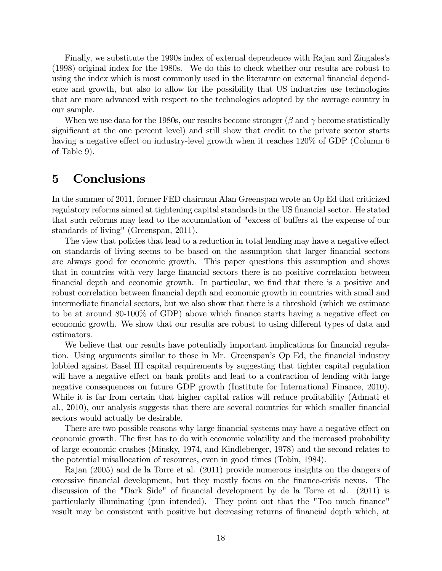Finally, we substitute the 1990s index of external dependence with Rajan and Zingales's (1998) original index for the 1980s. We do this to check whether our results are robust to using the index which is most commonly used in the literature on external financial dependence and growth, but also to allow for the possibility that US industries use technologies that are more advanced with respect to the technologies adopted by the average country in our sample.

When we use data for the 1980s, our results become stronger ( $\beta$  and  $\gamma$  become statistically significant at the one percent level) and still show that credit to the private sector starts having a negative effect on industry-level growth when it reaches  $120\%$  of GDP (Column 6) of Table 9).

# 5 Conclusions

In the summer of 2011, former FED chairman Alan Greenspan wrote an Op Ed that criticized regulatory reforms aimed at tightening capital standards in the US financial sector. He stated that such reforms may lead to the accumulation of "excess of buffers at the expense of our standards of living" (Greenspan, 2011).

The view that policies that lead to a reduction in total lending may have a negative effect on standards of living seems to be based on the assumption that larger Önancial sectors are always good for economic growth. This paper questions this assumption and shows that in countries with very large financial sectors there is no positive correlation between Önancial depth and economic growth. In particular, we Önd that there is a positive and robust correlation between financial depth and economic growth in countries with small and intermediate Önancial sectors, but we also show that there is a threshold (which we estimate to be at around 80-100% of GDP) above which finance starts having a negative effect on economic growth. We show that our results are robust to using different types of data and estimators.

We believe that our results have potentially important implications for financial regulation. Using arguments similar to those in Mr. Greenspan's Op Ed, the financial industry lobbied against Basel III capital requirements by suggesting that tighter capital regulation will have a negative effect on bank profits and lead to a contraction of lending with large negative consequences on future GDP growth (Institute for International Finance, 2010). While it is far from certain that higher capital ratios will reduce profitability (Admati et al., 2010), our analysis suggests that there are several countries for which smaller financial sectors would actually be desirable.

There are two possible reasons why large financial systems may have a negative effect on economic growth. The first has to do with economic volatility and the increased probability of large economic crashes (Minsky, 1974, and Kindleberger, 1978) and the second relates to the potential misallocation of resources, even in good times (Tobin, 1984).

Rajan (2005) and de la Torre et al. (2011) provide numerous insights on the dangers of excessive financial development, but they mostly focus on the finance-crisis nexus. The discussion of the "Dark Side" of financial development by de la Torre et al. (2011) is particularly illuminating (pun intended). They point out that the "Too much finance" result may be consistent with positive but decreasing returns of financial depth which, at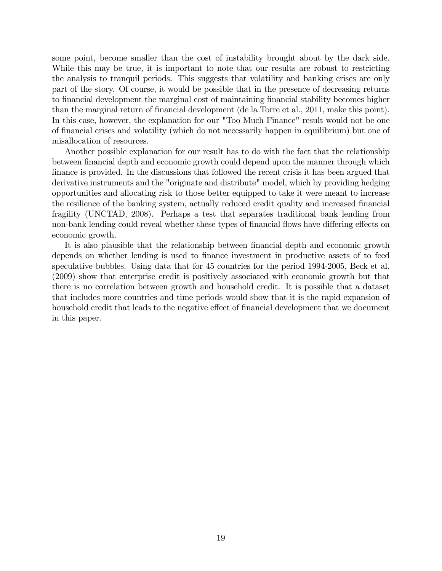some point, become smaller than the cost of instability brought about by the dark side. While this may be true, it is important to note that our results are robust to restricting the analysis to tranquil periods. This suggests that volatility and banking crises are only part of the story. Of course, it would be possible that in the presence of decreasing returns to financial development the marginal cost of maintaining financial stability becomes higher than the marginal return of financial development (de la Torre et al., 2011, make this point). In this case, however, the explanation for our "Too Much Finance" result would not be one of financial crises and volatility (which do not necessarily happen in equilibrium) but one of misallocation of resources.

Another possible explanation for our result has to do with the fact that the relationship between financial depth and economic growth could depend upon the manner through which finance is provided. In the discussions that followed the recent crisis it has been argued that derivative instruments and the "originate and distribute" model, which by providing hedging opportunities and allocating risk to those better equipped to take it were meant to increase the resilience of the banking system, actually reduced credit quality and increased financial fragility (UNCTAD, 2008). Perhaps a test that separates traditional bank lending from non-bank lending could reveal whether these types of financial flows have differing effects on economic growth.

It is also plausible that the relationship between financial depth and economic growth depends on whether lending is used to finance investment in productive assets of to feed speculative bubbles. Using data that for 45 countries for the period 1994-2005, Beck et al. (2009) show that enterprise credit is positively associated with economic growth but that there is no correlation between growth and household credit. It is possible that a dataset that includes more countries and time periods would show that it is the rapid expansion of household credit that leads to the negative effect of financial development that we document in this paper.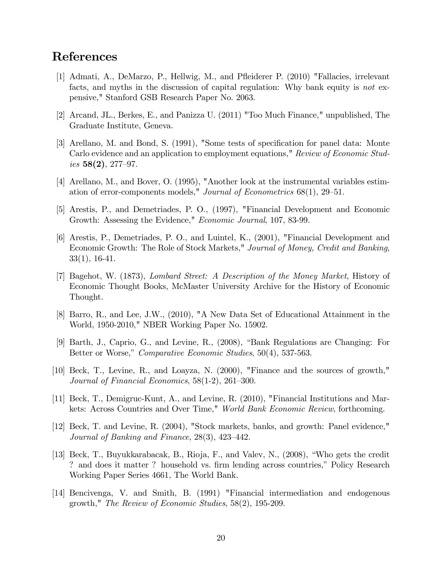# References

- [1] Admati, A., DeMarzo, P., Hellwig, M., and Páeiderer P. (2010) "Fallacies, irrelevant facts, and myths in the discussion of capital regulation: Why bank equity is not expensive," Stanford GSB Research Paper No. 2063.
- [2] Arcand, JL., Berkes, E., and Panizza U. (2011) "Too Much Finance," unpublished, The Graduate Institute, Geneva.
- [3] Arellano, M. and Bond, S. (1991), "Some tests of specification for panel data: Monte Carlo evidence and an application to employment equations," Review of Economic Studies  $58(2)$ , 277–97.
- [4] Arellano, M., and Bover, O. (1995), "Another look at the instrumental variables estimation of error-components models," *Journal of Econometrics*  $68(1)$ ,  $29-51$ .
- [5] Arestis, P., and Demetriades, P. O., (1997), "Financial Development and Economic Growth: Assessing the Evidence," Economic Journal, 107, 83-99.
- [6] Arestis, P., Demetriades, P. O., and Luintel, K., (2001), "Financial Development and Economic Growth: The Role of Stock Markets," Journal of Money, Credit and Banking, 33(1), 16-41.
- [7] Bagehot, W. (1873), Lombard Street: A Description of the Money Market, History of Economic Thought Books, McMaster University Archive for the History of Economic Thought.
- [8] Barro, R., and Lee, J.W., (2010), "A New Data Set of Educational Attainment in the World, 1950-2010," NBER Working Paper No. 15902.
- [9] Barth, J., Caprio, G., and Levine, R.,  $(2008)$ , "Bank Regulations are Changing: For Better or Worse," Comparative Economic Studies, 50(4), 537-563.
- [10] Beck, T., Levine, R., and Loayza, N. (2000), "Finance and the sources of growth," Journal of Financial Economics,  $58(1-2)$ ,  $261-300$ .
- [11] Beck, T., Demigruc-Kunt, A., and Levine, R. (2010), "Financial Institutions and Markets: Across Countries and Over Time," World Bank Economic Review, forthcoming.
- [12] Beck, T. and Levine, R. (2004), "Stock markets, banks, and growth: Panel evidence," Journal of Banking and Finance,  $28(3)$ ,  $423-442$ .
- [13] Beck, T., Buyukkarabacak, B., Rioja, F., and Valev, N., (2008), "Who gets the credit ? and does it matter ? household vs. firm lending across countries," Policy Research Working Paper Series 4661, The World Bank.
- [14] Bencivenga, V. and Smith, B. (1991) "Financial intermediation and endogenous growth," The Review of Economic Studies, 58(2), 195-209.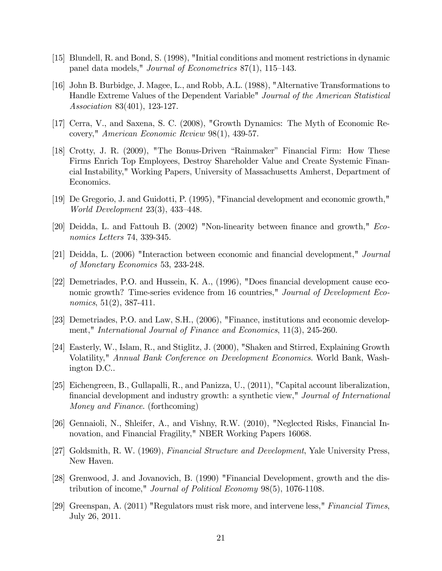- [15] Blundell, R. and Bond, S. (1998), "Initial conditions and moment restrictions in dynamic panel data models," Journal of Econometrics  $87(1)$ , 115–143.
- [16] John B. Burbidge, J. Magee, L., and Robb, A.L. (1988), "Alternative Transformations to Handle Extreme Values of the Dependent Variable" Journal of the American Statistical Association 83(401), 123-127.
- [17] Cerra, V., and Saxena, S. C. (2008), "Growth Dynamics: The Myth of Economic Recovery," American Economic Review 98(1), 439-57.
- [18] Crotty, J. R. (2009), "The Bonus-Driven "Rainmaker" Financial Firm: How These Firms Enrich Top Employees, Destroy Shareholder Value and Create Systemic Financial Instability," Working Papers, University of Massachusetts Amherst, Department of Economics.
- [19] De Gregorio, J. and Guidotti, P. (1995), "Financial development and economic growth," World Development  $23(3)$ ,  $433-448$ .
- [20] Deidda, L. and Fattouh B. (2002) "Non-linearity between finance and growth," Economics Letters 74, 339-345.
- [21] Deidda, L. (2006) "Interaction between economic and Önancial development," Journal of Monetary Economics 53, 233-248.
- [22] Demetriades, P.O. and Hussein, K. A., (1996), "Does financial development cause economic growth? Time-series evidence from 16 countries," Journal of Development Economics,  $51(2)$ ,  $387-411$ .
- [23] Demetriades, P.O. and Law, S.H., (2006), "Finance, institutions and economic development," International Journal of Finance and Economics, 11(3), 245-260.
- [24] Easterly, W., Islam, R., and Stiglitz, J. (2000), "Shaken and Stirred, Explaining Growth Volatility," Annual Bank Conference on Development Economics. World Bank, Washington D.C..
- [25] Eichengreen, B., Gullapalli, R., and Panizza, U., (2011), "Capital account liberalization, financial development and industry growth: a synthetic view," Journal of International Money and Finance. (forthcoming)
- [26] Gennaioli, N., Shleifer, A., and Vishny, R.W. (2010), "Neglected Risks, Financial Innovation, and Financial Fragility," NBER Working Papers 16068.
- [27] Goldsmith, R. W. (1969), Financial Structure and Development, Yale University Press, New Haven.
- [28] Grenwood, J. and Jovanovich, B. (1990) "Financial Development, growth and the distribution of income," Journal of Political Economy 98(5), 1076-1108.
- [29] Greenspan, A. (2011) "Regulators must risk more, and intervene less," Financial Times, July 26, 2011.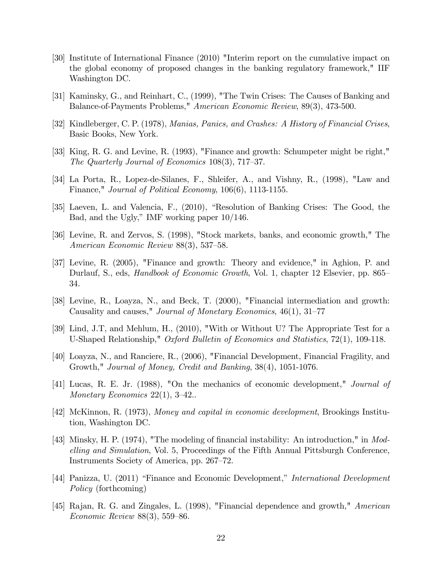- [30] Institute of International Finance (2010) "Interim report on the cumulative impact on the global economy of proposed changes in the banking regulatory framework," IIF Washington DC.
- [31] Kaminsky, G., and Reinhart, C., (1999), "The Twin Crises: The Causes of Banking and Balance-of-Payments Problems," American Economic Review, 89(3), 473-500.
- [32] Kindleberger, C. P. (1978), Manias, Panics, and Crashes: A History of Financial Crises, Basic Books, New York.
- [33] King, R. G. and Levine, R. (1993), "Finance and growth: Schumpeter might be right," The Quarterly Journal of Economics  $108(3)$ , 717–37.
- [34] La Porta, R., Lopez-de-Silanes, F., Shleifer, A., and Vishny, R., (1998), "Law and Finance," Journal of Political Economy, 106(6), 1113-1155.
- $[35]$  Laeven, L. and Valencia, F.,  $(2010)$ , "Resolution of Banking Crises: The Good, the Bad, and the Ugly," IMF working paper  $10/146$ .
- [36] Levine, R. and Zervos, S. (1998), "Stock markets, banks, and economic growth," The American Economic Review  $88(3)$ , 537–58.
- [37] Levine, R. (2005), "Finance and growth: Theory and evidence," in Aghion, P. and Durlauf, S., eds, *Handbook of Economic Growth*, Vol. 1, chapter 12 Elsevier, pp. 865– 34.
- [38] Levine, R., Loayza, N., and Beck, T. (2000), "Financial intermediation and growth: Causality and causes," *Journal of Monetary Economics*,  $46(1)$ ,  $31-77$
- [39] Lind, J.T, and Mehlum, H., (2010), "With or Without U? The Appropriate Test for a U-Shaped Relationship," Oxford Bulletin of Economics and Statistics, 72(1), 109-118.
- [40] Loayza, N., and Ranciere, R., (2006), "Financial Development, Financial Fragility, and Growth," Journal of Money, Credit and Banking, 38(4), 1051-1076.
- [41] Lucas, R. E. Jr. (1988), "On the mechanics of economic development," Journal of Monetary Economics 22(1),  $3-42$ ...
- [42] McKinnon, R. (1973), Money and capital in economic development, Brookings Institution, Washington DC.
- [43] Minsky, H. P. (1974), "The modeling of financial instability: An introduction," in Modelling and Simulation, Vol. 5, Proceedings of the Fifth Annual Pittsburgh Conference, Instruments Society of America, pp. 267–72.
- [44] Panizza, U. (2011) "Finance and Economic Development," International Development Policy (forthcoming)
- [45] Rajan, R. G. and Zingales, L. (1998), "Financial dependence and growth," American Economic Review  $88(3)$ , 559–86.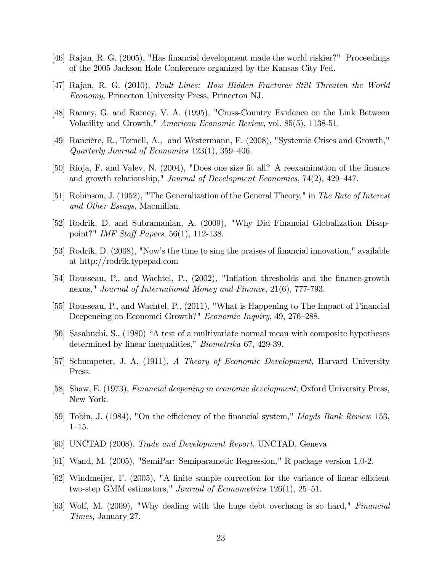- [46] Rajan, R. G. (2005), "Has financial development made the world riskier?" Proceedings of the 2005 Jackson Hole Conference organized by the Kansas City Fed.
- [47] Rajan, R. G. (2010), Fault Lines: How Hidden Fractures Still Threaten the World Economy, Princeton University Press, Princeton NJ.
- [48] Ramey, G. and Ramey, V. A. (1995), "Cross-Country Evidence on the Link Between Volatility and Growth," American Economic Review, vol. 85(5), 1138-51.
- [49] Rancière, R., Tornell, A., and Westermann, F. (2008), "Systemic Crises and Growth," Quarterly Journal of Economics  $123(1)$ ,  $359-406$ .
- [50] Rioja, F. and Valev, N. (2004), "Does one size fit all? A reexamination of the finance and growth relationship," *Journal of Development Economics*,  $74(2)$ ,  $429-447$ .
- [51] Robinson, J. (1952), "The Generalization of the General Theory," in The Rate of Interest and Other Essays, Macmillan.
- [52] Rodrik, D. and Subramanian, A. (2009), "Why Did Financial Globalization Disappoint?" IMF Staff Papers,  $56(1)$ , 112-138.
- [53] Rodrik, D. (2008), "Now's the time to sing the praises of financial innovation," available at http://rodrik.typepad.com
- [54] Rousseau, P., and Wachtel, P., (2002), "Inflation thresholds and the finance-growth nexus," Journal of International Money and Finance, 21(6), 777-793.
- [55] Rousseau, P., and Wachtel, P., (2011), "What is Happening to The Impact of Financial Deepeneing on Economci Growth?" Economic Inquiry, 49, 276–288.
- [56] Sasabuchi, S., (1980) "A test of a multivariate normal mean with composite hypotheses determined by linear inequalities," *Biometrika* 67, 429-39.
- [57] Schumpeter, J. A. (1911), A Theory of Economic Development, Harvard University Press.
- [58] Shaw, E. (1973), Financial deepening in economic development, Oxford University Press, New York.
- [59] Tobin, J. (1984), "On the efficiency of the financial system," Lloyds Bank Review 153,  $1 - 15$ .
- [60] UNCTAD (2008), Trade and Development Report, UNCTAD, Geneva
- [61] Wand, M. (2005), "SemiPar: Semiparametic Regression," R package version 1.0-2.
- $[62]$  Windmeijer, F. (2005), "A finite sample correction for the variance of linear efficient two-step GMM estimators," Journal of Econometrics  $126(1)$ ,  $25-51$ .
- [63] Wolf, M. (2009), "Why dealing with the huge debt overhang is so hard," Financial Times, January 27.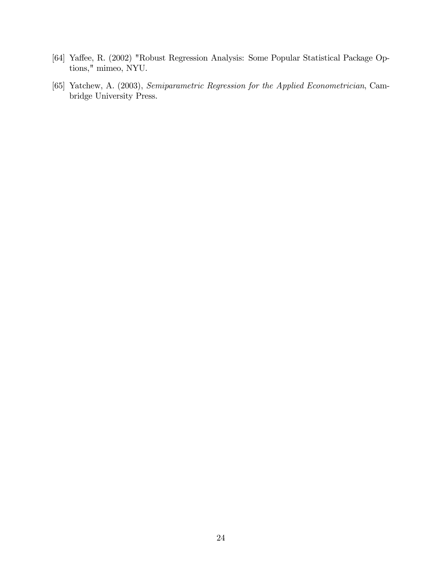- [64] Yaffee, R. (2002) "Robust Regression Analysis: Some Popular Statistical Package Options," mimeo, NYU.
- [65] Yatchew, A. (2003), Semiparametric Regression for the Applied Econometrician, Cambridge University Press.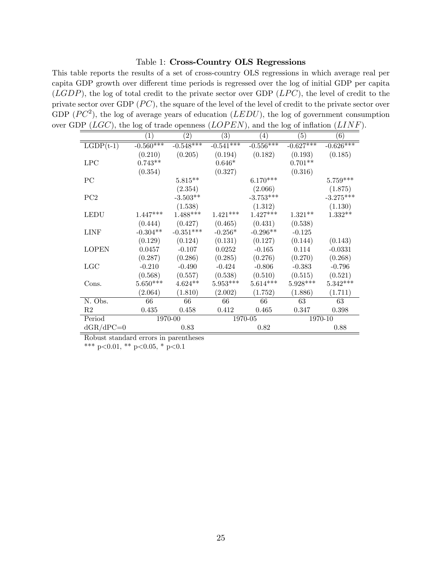#### Table 1: Cross-Country OLS Regressions

This table reports the results of a set of cross-country OLS regressions in which average real per capita GDP growth over different time periods is regressed over the log of initial GDP per capita  $(LGDP)$ , the log of total credit to the private sector over GDP  $(LPC)$ , the level of credit to the private sector over GDP  $(PC)$ , the square of the level of the level of credit to the private sector over GDP  $(PC^2)$ , the log of average years of education  $(LEDU)$ , the log of government consumption over GDP ( $LGC$ ), the log of trade openness ( $LOPEN$ ), and the log of inflation ( $LINF$ ).

|                | (1)         | $\left( 2\right)$ | $\left( 3\right)$ | $\left( 4\right)$ | (5)         | (6)         |  |  |
|----------------|-------------|-------------------|-------------------|-------------------|-------------|-------------|--|--|
| $LGDP(t-1)$    | $-0.560***$ | $-0.548***$       | $-0.541***$       | $-0.556***$       | $-0.627***$ | $-0.626***$ |  |  |
|                | (0.210)     | (0.205)           | (0.194)           | (0.182)           | (0.193)     | (0.185)     |  |  |
| <b>LPC</b>     | $0.743**$   |                   | $0.646*$          |                   | $0.701**$   |             |  |  |
|                | (0.354)     |                   | (0.327)           |                   | (0.316)     |             |  |  |
| PC             |             | $5.815***$        |                   | $6.170***$        |             | $5.759***$  |  |  |
|                |             | (2.354)           |                   | (2.066)           |             | (1.875)     |  |  |
| PC2            |             | $-3.503**$        |                   | $-3.753***$       |             | $-3.275***$ |  |  |
|                |             | (1.538)           |                   | (1.312)           |             | (1.130)     |  |  |
| <b>LEDU</b>    | $1.447***$  | $1.488***$        | $1.421***$        | $1.427***$        | $1.321**$   | $1.332**$   |  |  |
|                | (0.444)     | (0.427)           | (0.465)           | (0.431)           | (0.538)     |             |  |  |
| <b>LINF</b>    | $-0.304**$  | $-0.351***$       | $-0.256*$         | $-0.296**$        | $-0.125$    |             |  |  |
|                | (0.129)     | (0.124)           | (0.131)           | (0.127)           | (0.144)     | (0.143)     |  |  |
| <b>LOPEN</b>   | 0.0457      | $-0.107$          | 0.0252            | $-0.165$          | 0.114       | $-0.0331$   |  |  |
|                | (0.287)     | (0.286)           | (0.285)           | (0.276)           | (0.270)     | (0.268)     |  |  |
| LGC            | $-0.210$    | $-0.490$          | $-0.424$          | $-0.806$          | $-0.383$    | $-0.796$    |  |  |
|                | (0.568)     | (0.557)           | (0.538)           | (0.510)           | (0.515)     | (0.521)     |  |  |
| Cons.          | $5.650***$  | $4.624**$         | $5.953***$        | $5.614***$        | $5.928***$  | $5.342***$  |  |  |
|                | (2.064)     | (1.810)           | (2.002)           | (1.752)           | (1.886)     | (1.711)     |  |  |
| N. Obs.        | 66          | 66                | 66                | 66                | 63          | 63          |  |  |
| R <sub>2</sub> | 0.435       | 0.458             | 0.412             | 0.465             | 0.347       | 0.398       |  |  |
| Period         | 1970-00     |                   |                   | 1970-05           |             | 1970-10     |  |  |
| $dGR/dPC=0$    |             | 0.83              |                   | 0.82              |             | 0.88        |  |  |

Robust standard errors in parentheses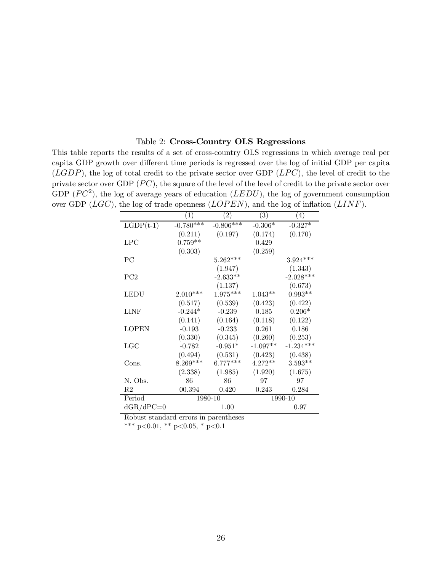### Table 2: Cross-Country OLS Regressions

This table reports the results of a set of cross-country OLS regressions in which average real per capita GDP growth over different time periods is regressed over the log of initial GDP per capita  $(LGDP)$ , the log of total credit to the private sector over GDP  $(LPC)$ , the level of credit to the private sector over GDP  $(PC)$ , the square of the level of the level of credit to the private sector over GDP  $(PC^2)$ , the log of average years of education  $(LEDU)$ , the log of government consumption over GDP ( $LGC$ ), the log of trade openness ( $LOPEN$ ), and the log of inflation ( $LINF$ ).

| - 17              |                                          |                               | っ                                        |  |
|-------------------|------------------------------------------|-------------------------------|------------------------------------------|--|
| $\left( 1\right)$ | $\left( 2\right)$                        | $\left( 3\right)$             | (4)                                      |  |
| $-0.780$ ***      | $-0.806***$                              | $-0.306*$                     | $-0.327*$                                |  |
|                   |                                          |                               | (0.170)                                  |  |
| $0.759**$         |                                          | 0.429                         |                                          |  |
|                   |                                          |                               |                                          |  |
|                   | $5.262***$                               |                               | $3.924***$                               |  |
|                   | (1.947)                                  |                               | (1.343)                                  |  |
|                   | $-2.633**$                               |                               | $-2.028***$                              |  |
|                   | (1.137)                                  |                               | (0.673)                                  |  |
| $2.010***$        | $1.975***$                               | $1.043**$                     | $0.993**$                                |  |
| (0.517)           | (0.539)                                  | (0.423)                       | (0.422)                                  |  |
| $-0.244*$         | $-0.239$                                 | 0.185                         | $0.206*$                                 |  |
| (0.141)           | (0.164)                                  | (0.118)                       | (0.122)                                  |  |
| $-0.193$          | $-0.233$                                 | 0.261                         | 0.186                                    |  |
|                   | (0.345)                                  |                               | (0.253)                                  |  |
| $-0.782$          | $-0.951*$                                | $-1.097**$                    | $-1.234***$                              |  |
|                   |                                          |                               | (0.438)                                  |  |
| $8.269***$        | $6.777***$                               | $4.272**$                     | $3.593**$                                |  |
| (2.338)           | (1.985)                                  | (1.920)                       | (1.675)                                  |  |
| 86                | 86                                       | 97                            | 97                                       |  |
| 00.394            | 0.420                                    | 0.243                         | 0.284                                    |  |
|                   |                                          | 1990-10                       |                                          |  |
|                   | 1.00                                     |                               | 0.97                                     |  |
|                   | (0.211)<br>(0.303)<br>(0.330)<br>(0.494) | (0.197)<br>(0.531)<br>1980-10 | (0.174)<br>(0.259)<br>(0.260)<br>(0.423) |  |

Robust standard errors in parentheses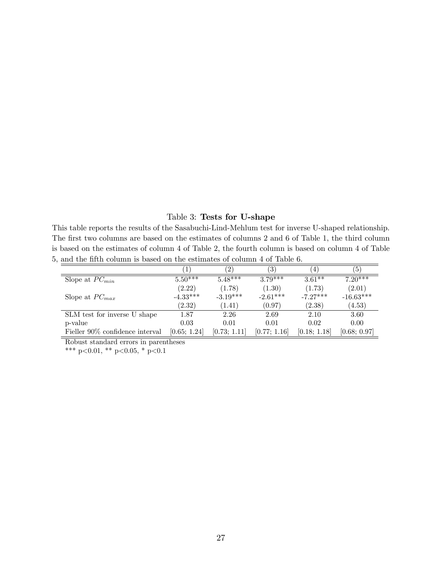### Table 3: Tests for U-shape

This table reports the results of the Sasabuchi-Lind-Mehlum test for inverse U-shaped relationship. The first two columns are based on the estimates of columns 2 and 6 of Table 1, the third column is based on the estimates of column 4 of Table 2, the fourth column is based on column 4 of Table 5, and the fifth column is based on the estimates of column 4 of Table 6.  $\equiv$ 

|                                 |              | $\left( 2\right)$ | $\left(3\right)$ | $\overline{4}$ | $\left(5\right)$     |
|---------------------------------|--------------|-------------------|------------------|----------------|----------------------|
| Slope at $PC_{min}$             | $5.50***$    | $5.48***$         | $3.79***$        | $3.61***$      | $7.\overline{20***}$ |
|                                 | (2.22)       | (1.78)            | (1.30)           | (1.73)         | (2.01)               |
| Slope at $PC_{max}$             | $-4.33***$   | $-3.19***$        | $-2.61***$       | $-7.27***$     | $-16.63***$          |
|                                 | (2.32)       | (1.41)            | (0.97)           | (2.38)         | (4.53)               |
| SLM test for inverse U shape    | 1.87         | 2.26              | 2.69             | 2.10           | 3.60                 |
| p-value                         | 0.03         | 0.01              | 0.01             | 0.02           | 0.00                 |
| Fieller 90% confidence interval | [0.65; 1.24] | [0.73; 1.11]      | [0.77; 1.16]     | [0.18; 1.18]   | [0.68; 0.97]         |

Robust standard errors in parentheses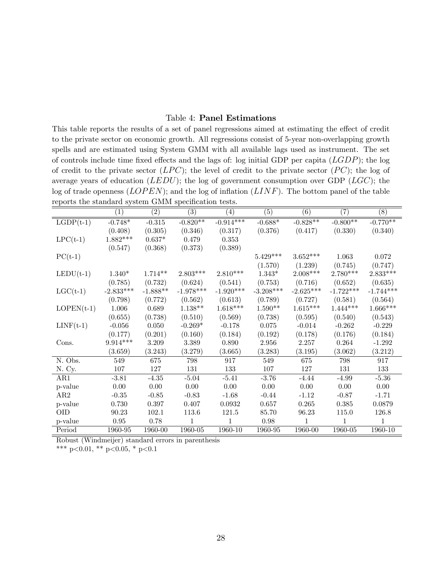### Table 4: Panel Estimations

This table reports the results of a set of panel regressions aimed at estimating the effect of credit to the private sector on economic growth. All regressions consist of 5-year non-overlapping growth spells and are estimated using System GMM with all available lags used as instrument. The set of controls include time fixed effects and the lags of: log initial GDP per capita  $(LGDP)$ ; the log of credit to the private sector  $(LPC)$ ; the level of credit to the private sector  $(PC)$ ; the log of average years of education  $(LEDU)$ ; the log of government consumption over GDP  $( LGC)$ ; the log of trade openness  $(LOPEN)$ ; and the log of inflation  $(LINF)$ . The bottom panel of the table reports the standard system GMM specification tests.

|              | $\left(1\right)$ | $\overline{(2)}$ | $\overline{(3)}$ | $\left( 4\right)$ | $\left( 5\right)$ | (6)         | (7)         | (8)         |
|--------------|------------------|------------------|------------------|-------------------|-------------------|-------------|-------------|-------------|
| $LGDP(t-1)$  | $-0.748*$        | $-0.315$         | $-0.820**$       | $-0.914***$       | $-0.688*$         | $-0.828**$  | $-0.800**$  | $-0.770**$  |
|              | (0.408)          | (0.305)          | (0.346)          | (0.317)           | (0.376)           | (0.417)     | (0.330)     | (0.340)     |
| $LPC(t-1)$   | $1.882***$       | $0.637*$         | 0.479            | 0.353             |                   |             |             |             |
|              | (0.547)          | (0.368)          | (0.373)          | (0.389)           |                   |             |             |             |
| $PC(t-1)$    |                  |                  |                  |                   | $5.429***$        | $3.652***$  | 1.063       | 0.072       |
|              |                  |                  |                  |                   | (1.570)           | (1.239)     | (0.745)     | (0.747)     |
| $LEDU(t-1)$  | $1.340*$         | $1.714**$        | $2.803***$       | $2.810***$        | $1.343*$          | $2.008***$  | $2.780***$  | $2.833***$  |
|              | (0.785)          | (0.732)          | (0.624)          | (0.541)           | (0.753)           | (0.716)     | (0.652)     | (0.635)     |
| $LGC(t-1)$   | $-2.833***$      | $-1.888**$       | $-1.978***$      | $-1.920***$       | $-3.208***$       | $-2.625***$ | $-1.722***$ | $-1.744***$ |
|              | (0.798)          | (0.772)          | (0.562)          | (0.613)           | (0.789)           | (0.727)     | (0.581)     | (0.564)     |
| $LOPEN(t-1)$ | 1.006            | 0.689            | $1.138**$        | $1.618***$        | $1.590**$         | $1.615***$  | $1.444***$  | $1.666***$  |
|              | (0.655)          | (0.738)          | (0.510)          | (0.569)           | (0.738)           | (0.595)     | (0.540)     | (0.543)     |
| $LINF(t-1)$  | $-0.056$         | 0.050            | $-0.269*$        | $-0.178$          | 0.075             | $-0.014$    | $-0.262$    | $-0.229$    |
|              | (0.177)          | (0.201)          | (0.160)          | (0.184)           | (0.192)           | (0.178)     | (0.176)     | (0.184)     |
| Cons.        | $9.914***$       | 3.209            | 3.389            | 0.890             | 2.956             | 2.257       | 0.264       | $-1.292$    |
|              | (3.659)          | (3.243)          | (3.279)          | (3.665)           | (3.283)           | (3.195)     | (3.062)     | (3.212)     |
| N. Obs.      | 549              | 675              | 798              | 917               | 549               | 675         | 798         | 917         |
| N. Cy.       | 107              | 127              | 131              | 133               | 107               | 127         | 131         | 133         |
| AR1          | $-3.81$          | $-4.35$          | $-5.04$          | $-5.41$           | $-3.76$           | $-4.44$     | $-4.99$     | $-5.36$     |
| p-value      | $0.00\,$         | 0.00             | 0.00             | 0.00              | 0.00              | 0.00        | 0.00        | 0.00        |
| AR2          | $-0.35$          | $-0.85$          | $-0.83$          | $-1.68$           | $-0.44$           | $-1.12$     | $-0.87$     | $-1.71$     |
| p-value      | 0.730            | 0.397            | 0.407            | 0.0932            | 0.657             | 0.265       | 0.385       | 0.0879      |
| <b>OID</b>   | 90.23            | 102.1            | 113.6            | 121.5             | 85.70             | 96.23       | 115.0       | 126.8       |
| p-value      | 0.95             | 0.78             | $\mathbf{1}$     | 1                 | 0.98              | 1           | 1           | 1           |
| Period       | 1960-95          | 1960-00          | 1960-05          | 1960-10           | 1960-95           | 1960-00     | 1960-05     | 1960-10     |

Robust (Windmeijer) standard errors in parenthesis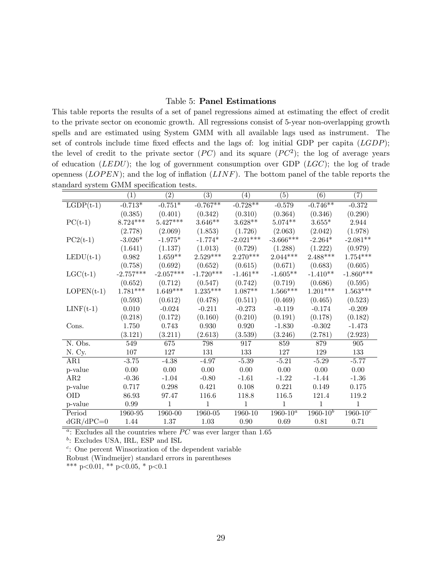### Table 5: Panel Estimations

This table reports the results of a set of panel regressions aimed at estimating the effect of credit to the private sector on economic growth. All regressions consist of 5-year non-overlapping growth spells and are estimated using System GMM with all available lags used as instrument. The set of controls include time fixed effects and the lags of: log initial GDP per capita  $(LGDP)$ ; the level of credit to the private sector  $(PC)$  and its square  $(PC^2)$ ; the log of average years of education  $(LEDU)$ ; the log of government consumption over GDP  $(LGC)$ ; the log of trade openness  $(LOPEN)$ ; and the log of inflation  $(LINF)$ . The bottom panel of the table reports the standard system GMM specification tests.

|              | (1)         | (2)         | (3)          | (4)          | (5)           | (6)           | (7)             |
|--------------|-------------|-------------|--------------|--------------|---------------|---------------|-----------------|
| $LGDP(t-1)$  | $-0.713*$   | $-0.751*$   | $-0.767**$   | $-0.728**$   | $-0.579$      | $-0.746**$    | $-0.372$        |
|              | (0.385)     | (0.401)     | (0.342)      | (0.310)      | (0.364)       | (0.346)       | (0.290)         |
| $PC(t-1)$    | $8.724***$  | $5.427***$  | $3.646**$    | $3.628**$    | $5.074**$     | $3.655*$      | 2.944           |
|              | (2.778)     | (2.069)     | (1.853)      | (1.726)      | (2.063)       | (2.042)       | (1.978)         |
| $PC2(t-1)$   | $-3.026*$   | $-1.975*$   | $-1.774*$    | $-2.021***$  | $-3.666***$   | $-2.264*$     | $-2.081**$      |
|              | (1.641)     | (1.137)     | (1.013)      | (0.729)      | (1.288)       | (1.222)       | (0.979)         |
| $LEDU(t-1)$  | 0.982       | $1.659**$   | $2.529***$   | $2.270***$   | $2.044***$    | $2.488***$    | $1.754***$      |
|              | (0.758)     | (0.692)     | (0.652)      | (0.615)      | (0.671)       | (0.683)       | (0.605)         |
| $LGC(t-1)$   | $-2.757***$ | $-2.057***$ | $-1.720***$  | $-1.461**$   | $-1.605**$    | $-1.410**$    | $-1.860***$     |
|              | (0.652)     | (0.712)     | (0.547)      | (0.742)      | (0.719)       | (0.686)       | (0.595)         |
| $LOPEN(t-1)$ | $1.781***$  | $1.649***$  | $1.235***$   | $1.087**$    | $1.566***$    | $1.201***$    | $1.563^{***}\;$ |
|              | (0.593)     | (0.612)     | (0.478)      | (0.511)      | (0.469)       | (0.465)       | (0.523)         |
| $LINF(t-1)$  | 0.010       | $-0.024$    | $-0.211$     | $-0.273$     | $-0.119$      | $-0.174$      | $-0.209$        |
|              | (0.218)     | (0.172)     | (0.160)      | (0.210)      | (0.191)       | (0.178)       | (0.182)         |
| Cons.        | 1.750       | 0.743       | 0.930        | $0.920\,$    | $-1.830$      | $-0.302$      | $-1.473$        |
|              | (3.121)     | (3.211)     | (2.613)      | (3.539)      | (3.246)       | (2.781)       | (2.923)         |
| N. Obs.      | 549         | 675         | 798          | 917          | 859           | 879           | 905             |
| N. Cy.       | 107         | 127         | 131          | 133          | 127           | 129           | 133             |
| AR1          | $-3.75$     | $-4.38$     | $-4.97$      | $-5.39$      | $-5.21$       | $-5.29$       | $-5.77$         |
| p-value      | 0.00        | 0.00        | 0.00         | 0.00         | 0.00          | 0.00          | 0.00            |
| AR2          | $-0.36$     | $-1.04$     | $-0.80$      | $-1.61$      | $-1.22$       | $-1.44$       | $-1.36$         |
| p-value      | 0.717       | 0.298       | 0.421        | 0.108        | 0.221         | 0.149         | 0.175           |
| <b>OID</b>   | 86.93       | 97.47       | 116.6        | 118.8        | 116.5         | 121.4         | 119.2           |
| p-value      | 0.99        | 1           | $\mathbf{1}$ | $\mathbf{1}$ | 1             | $\mathbf{1}$  | $\mathbf{1}$    |
| Period       | 1960-95     | 1960-00     | 1960-05      | 1960-10      | $1960 - 10^a$ | $1960 - 10^b$ | $1960 - 10^c$   |
| $dGR/dPC=0$  | 1.44        | $1.37\,$    | $1.03\,$     | $0.90\,$     | $0.69\,$      | $0.81\,$      | 0.71            |

 $a$ : Excludes all the countries where PC was ever larger than 1.65

<sup>b</sup>: Excludes USA, IRL, ESP and ISL

<sup>c</sup>: One percent Winsorization of the dependent variable

Robust (Windmeijer) standard errors in parentheses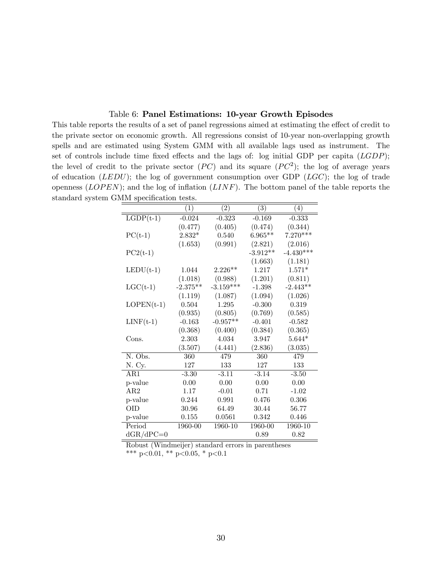### Table 6: Panel Estimations: 10-year Growth Episodes

This table reports the results of a set of panel regressions aimed at estimating the effect of credit to the private sector on economic growth. All regressions consist of 10-year non-overlapping growth spells and are estimated using System GMM with all available lags used as instrument. The set of controls include time fixed effects and the lags of: log initial GDP per capita  $(LGDP)$ ; the level of credit to the private sector  $(PC)$  and its square  $(PC^2)$ ; the log of average years of education  $(LEDU)$ ; the log of government consumption over GDP  $(LGC)$ ; the log of trade openness  $(LOPEN)$ ; and the log of inflation  $(LINF)$ . The bottom panel of the table reports the standard system GMM specification tests.

|              | $\left(1\right)$ | $\left( 2\right)$ | $\left( 3\right)$ | (4)         |
|--------------|------------------|-------------------|-------------------|-------------|
| $LGDP(t-1)$  | $-0.024$         | $-0.323$          | $-0.169$          | $-0.333$    |
|              | (0.477)          | (0.405)           | (0.474)           | (0.344)     |
| $PC(t-1)$    | $2.832*$         | 0.540             | $6.965**$         | $7.270***$  |
|              | (1.653)          | (0.991)           | (2.821)           | (2.016)     |
| $PC2(t-1)$   |                  |                   | $-3.912**$        | $-4.430***$ |
|              |                  |                   | (1.663)           | (1.181)     |
| $LEDU(t-1)$  | 1.044            | $2.226**$         | 1.217             | $1.571*$    |
|              | (1.018)          | (0.988)           | (1.201)           | (0.811)     |
| $LGC(t-1)$   | $-2.375**$       | $-3.159***$       | $-1.398$          | $-2.443**$  |
|              | (1.119)          | (1.087)           | (1.094)           | (1.026)     |
| $LOPEN(t-1)$ | 0.504            | 1.295             | $-0.300$          | 0.319       |
|              | (0.935)          | (0.805)           | (0.769)           | (0.585)     |
| $LINF(t-1)$  | $-0.163$         | $-0.957**$        | $-0.401$          | $-0.582$    |
|              | (0.368)          | (0.400)           | (0.384)           | (0.365)     |
| Cons.        | 2.303            | 4.034             | 3.947             | $5.644*$    |
|              | (3.507)          | (4.441)           | (2.836)           | (3.035)     |
| N. Obs.      | 360              | 479               | 360               | 479         |
| N. Cy.       | 127              | 133               | 127               | 133         |
| AR1          | $-3.30$          | $-3.11$           | $-3.14$           | $-3.50$     |
| p-value      | 0.00             | 0.00              | 0.00              | 0.00        |
| AR2          | 1.17             | $-0.01$           | 0.71              | $-1.02$     |
| p-value      | 0.244            | 0.991             | 0.476             | 0.306       |
| <b>OID</b>   | 30.96            | 64.49             | 30.44             | 56.77       |
| p-value      | 0.155            | 0.0561            | 0.342             | 0.446       |
| Period       | 1960-00          | 1960-10           | 1960-00           | 1960-10     |
| $dGR/dPC=0$  |                  |                   | 0.89              | 0.82        |

Robust (Windmeijer) standard errors in parentheses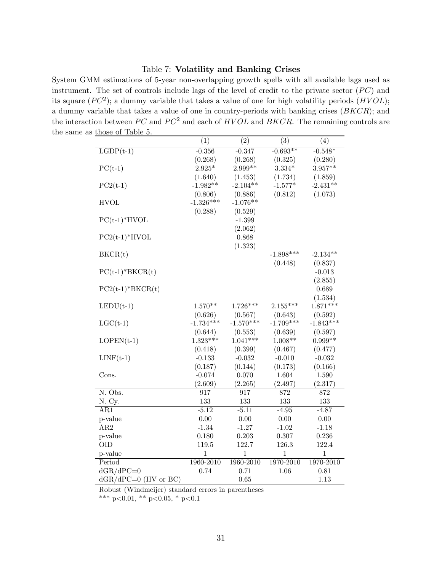### Table 7: Volatility and Banking Crises

System GMM estimations of 5-year non-overlapping growth spells with all available lags used as instrument. The set of controls include lags of the level of credit to the private sector  $(PC)$  and its square  $(PC^2)$ ; a dummy variable that takes a value of one for high volatility periods  $(HVOL)$ ; a dummy variable that takes a value of one in country-periods with banking crises  $(BKCR)$ ; and the interaction between  $PC$  and  $PC^2$  and each of  $HVOL$  and  $BKCR$ . The remaining controls are the same as those of Table 5.

|                        | (1)          | (2)              | (3)          | (4)              |
|------------------------|--------------|------------------|--------------|------------------|
| $LGDP(t-1)$            | $-0.356$     | $-0.347$         | $-0.693**$   | $-0.548*$        |
|                        | (0.268)      | (0.268)          | (0.325)      | (0.280)          |
| $PC(t-1)$              | $2.925*$     | 2.999**          | $3.334*$     | $3.957**$        |
|                        | (1.640)      | (1.453)          | (1.734)      | (1.859)          |
| $PC2(t-1)$             | $-1.982**$   | $-2.104**$       | $-1.577*$    | $-2.431**$       |
|                        | (0.806)      | (0.886)          | (0.812)      | (1.073)          |
| <b>HVOL</b>            | $-1.326***$  | $-1.076**$       |              |                  |
|                        | (0.288)      | (0.529)          |              |                  |
| $PC(t-1)*HVOL$         |              | $-1.399$         |              |                  |
|                        |              | (2.062)          |              |                  |
| $PC2(t-1)*HVOL$        |              | 0.868            |              |                  |
|                        |              | (1.323)          |              |                  |
| BKCR(t)                |              |                  | $-1.898***$  | $-2.134**$       |
|                        |              |                  | (0.448)      | (0.837)          |
| $PC(t-1)*BKCR(t)$      |              |                  |              | $-0.013$         |
|                        |              |                  |              | (2.855)          |
| $PC2(t-1)*BKCR(t)$     |              |                  |              | 0.689            |
|                        |              |                  |              | (1.534)          |
| $LEDU(t-1)$            | $1.570**$    | $1.726***$       | $2.155***$   | $1.871***$       |
|                        | (0.626)      | (0.567)          | (0.643)      | (0.592)          |
| $LGC(t-1)$             | $-1.734***$  | $-1.570***$      | $-1.709***$  | $-1.843***$      |
|                        | (0.644)      | (0.553)          | (0.639)      | (0.597)          |
| $LOPEN(t-1)$           | $1.323***$   | $1.041***$       | $1.008**$    | $0.999**$        |
|                        | (0.418)      | (0.399)          | (0.467)      | (0.477)          |
| $LINF(t-1)$            | $-0.133$     | $-0.032$         | $-0.010$     | $-0.032$         |
|                        | (0.187)      | (0.144)          | (0.173)      | (0.166)          |
| Cons.                  | $-0.074$     | 0.070            | 1.604        | $1.590\,$        |
|                        | (2.609)      | (2.265)          | (2.497)      | (2.317)          |
| N. Obs.                | 917          | $\overline{917}$ | 872          | $\overline{872}$ |
| N. Cy.                 | 133          | 133              | 133          | 133              |
| AR1                    | $-5.12$      | $-5.11$          | $-4.95$      | $-4.87$          |
| p-value                | 0.00         | 0.00             | 0.00         | $0.00\,$         |
| AR2                    | $-1.34$      | $-1.27$          | $-1.02$      | $-1.18$          |
| p-value                | 0.180        | 0.203            | 0.307        | 0.236            |
| <b>OID</b>             | 119.5        | 122.7            | 126.3        | 122.4            |
| p-value                | $\mathbf{1}$ | $\,1$            | $\mathbf{1}$ | $\mathbf{1}$     |
| Period                 | 1960-2010    | 1960-2010        | 1970-2010    | 1970-2010        |
| $dGR/dPC=0$            | 0.74         | 0.71             | 1.06         | 0.81             |
| $dGR/dPC=0$ (HV or BC) |              | 0.65             |              | 1.13             |

Robust (Windmeijer) standard errors in parentheses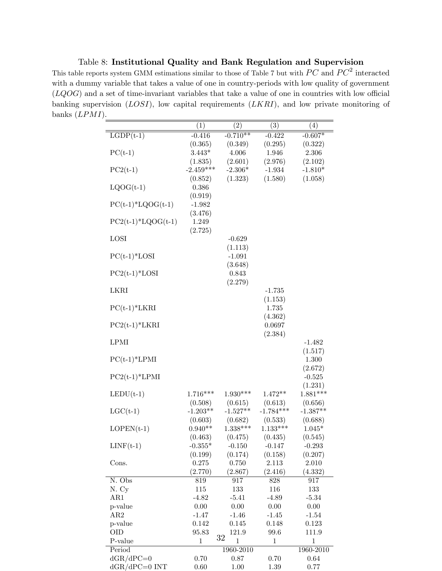Table 8: Institutional Quality and Bank Regulation and Supervision

This table reports system GMM estimations similar to those of Table 7 but with  $PC$  and  $PC^2$  interacted with a dummy variable that takes a value of one in country-periods with low quality of government  $(LQOG)$  and a set of time-invariant variables that take a value of one in countries with low official banking supervision  $(LOSI)$ , low capital requirements  $(LKRI)$ , and low private monitoring of banks (LPMI).

|                      | (1)          | (2)          | (3)         | (4)          |
|----------------------|--------------|--------------|-------------|--------------|
| $LGDP(t-1)$          | $-0.416$     | $-0.710**$   | $-0.422$    | $-0.607*$    |
|                      | (0.365)      | (0.349)      | (0.295)     | (0.322)      |
| $PC(t-1)$            | $3.443*$     | 4.006        | 1.946       | 2.306        |
|                      | (1.835)      | (2.601)      | (2.976)     | (2.102)      |
| $PC2(t-1)$           | $-2.459***$  | $-2.306*$    | $-1.934$    | $-1.810*$    |
|                      | (0.852)      | (1.323)      | (1.580)     | (1.058)      |
| $LQOG(t-1)$          | 0.386        |              |             |              |
|                      | (0.919)      |              |             |              |
| $PC(t-1)*LQOG(t-1)$  | $-1.982$     |              |             |              |
|                      | (3.476)      |              |             |              |
| $PC2(t-1)*LQOG(t-1)$ | 1.249        |              |             |              |
|                      | (2.725)      |              |             |              |
| LOSI                 |              | $-0.629$     |             |              |
|                      |              | (1.113)      |             |              |
| $PC(t-1)*LOSI$       |              | $-1.091$     |             |              |
|                      |              | (3.648)      |             |              |
| $PC2(t-1)*LOSI$      |              | 0.843        |             |              |
|                      |              | (2.279)      |             |              |
| LKRI                 |              |              | $-1.735$    |              |
|                      |              |              | (1.153)     |              |
| $PC(t-1)*LKRI$       |              |              | 1.735       |              |
|                      |              |              | (4.362)     |              |
| $PC2(t-1)*LKRI$      |              |              | 0.0697      |              |
|                      |              |              | (2.384)     |              |
| <b>LPMI</b>          |              |              |             | $-1.482$     |
|                      |              |              |             | (1.517)      |
| $PC(t-1)*LPMI$       |              |              |             | $1.300\,$    |
|                      |              |              |             | (2.672)      |
| $PC2(t-1)*LPMI$      |              |              |             | $-0.525$     |
|                      |              |              |             | (1.231)      |
| $LEDU(t-1)$          | $1.716***$   | $1.930***$   | $1.472**$   | $1.881***$   |
|                      | (0.508)      | (0.615)      | (0.613)     | (0.656)      |
| $LGC(t-1)$           | $-1.203**$   | $-1.527**$   | $-1.784***$ | $-1.387**$   |
|                      | (0.603)      | (0.682)      | (0.533)     | (0.688)      |
| $LOPEN(t-1)$         | $0.940**$    | $1.338***$   | $1.133***$  | $1.045*$     |
|                      | (0.463)      | (0.475)      | (0.435)     | (0.545)      |
| $LINF(t-1)$          | $-0.355*$    | $-0.150$     | $-0.147$    | $-0.293$     |
|                      | (0.199)      | (0.174)      | (0.158)     | (0.207)      |
| Cons.                | 0.275        | 0.750        | 2.113       | 2.010        |
|                      | (2.770)      | (2.867)      | (2.416)     | (4.332)      |
| N. Obs               | 819          | 917          | 828         | 917          |
| N. Cy                | 115          | 133          | 116         | 133          |
| AR1                  | $-4.82$      | $-5.41$      | $-4.89$     | $-5.34$      |
| p-value              | 0.00         | $0.00\,$     | $0.00\,$    | 0.00         |
| AR2                  | $-1.47$      | $-1.46$      | $-1.45$     | $-1.54$      |
| p-value              | 0.142        | 0.145        | 0.148       | 0.123        |
| ОID                  | 95.83        | 121.9<br>32  | 99.6        | 111.9        |
| P-value              | $\mathbf{1}$ | $\mathbf{1}$ | $\mathbf 1$ | $\mathbf{1}$ |
| Period               |              | 1960-2010    |             | 1960-2010    |
| $dGR/dPC=0$          | 0.70         | 0.87         | 0.70        | 0.64         |
| $dGR/dPC=0$ INT      | 0.60         | 1.00         | 1.39        | 0.77         |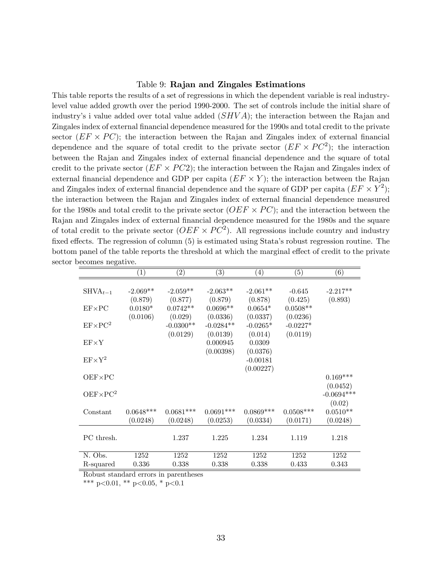### Table 9: Rajan and Zingales Estimations

This table reports the results of a set of regressions in which the dependent variable is real industrylevel value added growth over the period 1990-2000. The set of controls include the initial share of industry's i value added over total value added  $(SHVA)$ ; the interaction between the Rajan and Zingales index of external financial dependence measured for the 1990s and total credit to the private sector  $(EF \times PC)$ ; the interaction between the Rajan and Zingales index of external financial dependence and the square of total credit to the private sector  $(EF \times PC^2)$ ; the interaction between the Rajan and Zingales index of external Önancial dependence and the square of total credit to the private sector  $(EF \times PC2)$ ; the interaction between the Rajan and Zingales index of external financial dependence and GDP per capita  $(EF \times Y)$ ; the interaction between the Rajan and Zingales index of external financial dependence and the square of GDP per capita  $(EF \times Y^2)$ ; the interaction between the Rajan and Zingales index of external Önancial dependence measured for the 1980s and total credit to the private sector  $(OEF \times PC)$ ; and the interaction between the Rajan and Zingales index of external financial dependence measured for the 1980s and the square of total credit to the private sector  $(OEF \times PC^2)$ . All regressions include country and industry fixed effects. The regression of column  $(5)$  is estimated using Stata's robust regression routine. The bottom panel of the table reports the threshold at which the marginal effect of credit to the private sector becomes negative.

|                   | $\left( 1\right)$                | $\left( 2\right)$                | $\left( 3\right)$                 | $\left( 4\right)$                | $\left( 5\right)$                 | $\left(\overline{6}\right)$ |
|-------------------|----------------------------------|----------------------------------|-----------------------------------|----------------------------------|-----------------------------------|-----------------------------|
| $SHVA_{t-1}$      | $-2.069**$                       | $-2.059**$                       | $-2.063**$                        | $-2.061**$                       | $-0.645$                          | $-2.217**$                  |
| $EF \times PC$    | (0.879)<br>$0.0180*$<br>(0.0106) | (0.877)<br>$0.0742**$<br>(0.029) | (0.879)<br>$0.0696**$<br>(0.0336) | (0.878)<br>$0.0654*$<br>(0.0337) | (0.425)<br>$0.0508**$<br>(0.0236) | (0.893)                     |
| $EF \times PC^2$  |                                  | $-0.0300**$<br>(0.0129)          | $-0.0284**$<br>(0.0139)           | $-0.0265*$<br>(0.014)            | $-0.0227*$<br>(0.0119)            |                             |
| $EF \times Y$     |                                  |                                  | 0.000945<br>(0.00398)             | 0.0309<br>(0.0376)               |                                   |                             |
| $EF \times Y^2$   |                                  |                                  |                                   | $-0.00181$<br>(0.00227)          |                                   |                             |
| $OEF \times PC$   |                                  |                                  |                                   |                                  |                                   | $0.169***$<br>(0.0452)      |
| $DEF \times PC^2$ |                                  |                                  |                                   |                                  |                                   | $-0.0694***$<br>(0.02)      |
| Constant          | $0.0648***$<br>(0.0248)          | $0.0681***$<br>(0.0248)          | $0.0691***$<br>(0.0253)           | $0.0869***$<br>(0.0334)          | $0.0508***$<br>(0.0171)           | $0.0510**$<br>(0.0248)      |
| PC thresh.        |                                  | 1.237                            | 1.225                             | 1.234                            | 1.119                             | 1.218                       |
| N. Obs.           | 1252                             | 1252                             | 1252                              | 1252                             | 1252                              | 1252                        |
| R-squared         | 0.336                            | 0.338                            | 0.338                             | 0.338                            | 0.433                             | 0.343                       |

Robust standard errors in parentheses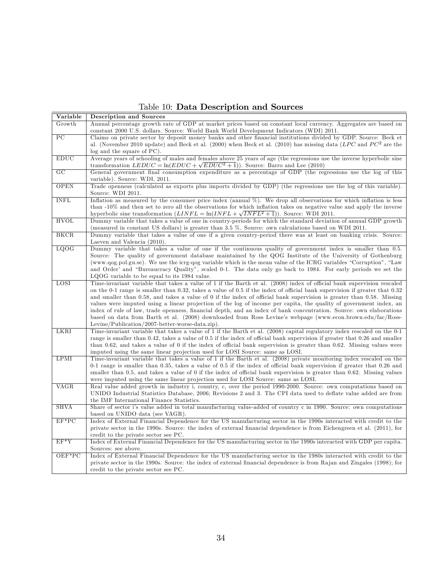Table 10: Data Description and Sources

| Growth<br>Annual percentage growth rate of GDP at market prices based on constant local currency. Aggregates are based on<br>constant 2000 U.S. dollars. Source: World Bank World Development Indicators (WDI) 2011.<br>$\overline{PC}$<br>Claims on private sector by deposit money banks and other financial institutions divided by GDP. Source: Beck et<br>al. (November 2010 update) and Beck et al. (2000) when Beck et al. (2010) has missing data ( $LPC$ and $PC2$ are the<br>log and the square of PC).<br><b>EDUC</b><br>Average years of schooling of males and females above 25 years of age (the regressions use the inverse hyperbolic sine<br>transformation $LEDUC = \ln(EDUC + \sqrt{EDUC^2 + 1})$ . Source: Barro and Lee (2010)<br>GC<br>General government final consumption expenditure as a percentage of GDP (the regressions use the log of this<br>variable). Source: WDI, 2011.<br><b>OPEN</b><br>Trade openness (calculated as exports plus imports divided by GDP) (the regressions use the log of this variable).<br>Source: WDI 2011.<br><b>INFL</b><br>Inflation as measured by the consumer price index (annual %). We drop all observations for which inflation is less<br>than -10% and then set to zero all the observations for which inflation takes on negative value and apply the inverse<br>hyperbolic sine transformation $(LINFL = \ln (INFL + \sqrt{INFL^2} + 1))$ . Source: WDI 2011.<br><b>HVOL</b><br>Dummy variable that takes a value of one in country-periods for which the standard deviation of annual GDP growth<br>(measured in constant US dollars) is greater than 3.5 %. Source: own calculations based on WDI 2011.<br>BKCR<br>Dummy variable that takes a value of one if a given country-period there was at least on banking crisis. Source:<br>Laeven and Valencia (2010).<br>LQOG<br>Dummy variable that takes a value of one if the continuous quality of government index is smaller than 0.5.<br>Source: The quality of government database maintained by the QOG Institute of the University of Gothenburg<br>(www.qog.pol.gu.se). We use the icrg-qog variable which is the mean value of the ICRG variables "Corruption", "Law<br>and Order' and "Bureaucracy Quality", scaled 0-1. The data only go back to 1984. For early periods we set the<br>LQOG variable to be equal to its 1984 value.<br>LOSI<br>Time-invariant variable that takes a value of 1 if the Barth et al. (2008) index of official bank supervision rescaled<br>on the 0-1 range is smaller than 0.32, takes a value of 0.5 if the index of official bank supervision if greater that 0.32<br>and smaller than 0.58, and takes a value of 0 if the index of official bank supervision is greater than 0.58. Missing<br>values were imputed using a linear projection of the log of income per capita, the quality of government index, an<br>index of rule of law, trade openness, financial depth, and an index of bank concentration. Source: own elaborations<br>based on data from Barth et al. (2008) downloaded from Ross Levine's webpage (www.econ.brown.edu/fac/Ross-<br>Levine/Publication/2007-better-worse-data.zip).<br>LKRI<br>Time-invariant variable that takes a value of 1 if the Barth et al. (2008) capital regulatory index rescaled on the 0-1<br>range is smaller than 0.42, takes a value of 0.5 if the index of official bank supervision if greater that 0.26 and smaller<br>than 0.62, and takes a value of 0 if the index of official bank supervision is greater than 0.62. Missing values were<br>imputed using the same linear projection used for LOSI Source: same as LOSI.<br><b>LPMI</b><br>Time-invariant variable that takes a value of 1 if the Barth et al. (2008) private monitoring index rescaled on the<br>0-1 range is smaller than 0.35, takes a value of 0.5 if the index of official bank supervision if greater that 0.26 and<br>smaller than 0.5, and takes a value of 0 if the index of official bank supervision is greater than 0.62. Missing values<br>were imputed using the same linear projection used for LOSI Source: same as LOSI.<br>VAGR<br>Real value added growth in industry i, country, c, over the period 1990-2000. Source: own computations based on<br>UNIDO Industrial Statistics Database, 2006; Revisions 2 and 3. The CPI data used to deflate value added are from<br>the IMF International Finance Statistics.<br><b>SHVA</b><br>Share of sector i's value added in total manufacturing value-added of country c in 1990. Source: own computations<br>based on UNIDO data (see VAGR).<br>$EF*PC$<br>Index of External Financial Dependence for the US manufacturing sector in the 1990s interacted with credit to the<br>private sector in the 1990s. Source: the index of external financial dependence is from Eichengreen et al. (2011), for<br>credit to the private sector see PC.<br>$EF*Y$<br>Index of External Financial Dependence for the US manufacturing sector in the 1990s interacted with GDP per capita.<br>Sources: see above.<br>OEF*PC<br>Index of External Financial Dependence for the US manufacturing sector in the 1980s interacted with credit to the<br>private sector in the 1990s. Source: the index of external financial dependence is from Rajan and Zingales (1998); for<br>credit to the private sector see PC. | Variable | Description and Sources |
|-------------------------------------------------------------------------------------------------------------------------------------------------------------------------------------------------------------------------------------------------------------------------------------------------------------------------------------------------------------------------------------------------------------------------------------------------------------------------------------------------------------------------------------------------------------------------------------------------------------------------------------------------------------------------------------------------------------------------------------------------------------------------------------------------------------------------------------------------------------------------------------------------------------------------------------------------------------------------------------------------------------------------------------------------------------------------------------------------------------------------------------------------------------------------------------------------------------------------------------------------------------------------------------------------------------------------------------------------------------------------------------------------------------------------------------------------------------------------------------------------------------------------------------------------------------------------------------------------------------------------------------------------------------------------------------------------------------------------------------------------------------------------------------------------------------------------------------------------------------------------------------------------------------------------------------------------------------------------------------------------------------------------------------------------------------------------------------------------------------------------------------------------------------------------------------------------------------------------------------------------------------------------------------------------------------------------------------------------------------------------------------------------------------------------------------------------------------------------------------------------------------------------------------------------------------------------------------------------------------------------------------------------------------------------------------------------------------------------------------------------------------------------------------------------------------------------------------------------------------------------------------------------------------------------------------------------------------------------------------------------------------------------------------------------------------------------------------------------------------------------------------------------------------------------------------------------------------------------------------------------------------------------------------------------------------------------------------------------------------------------------------------------------------------------------------------------------------------------------------------------------------------------------------------------------------------------------------------------------------------------------------------------------------------------------------------------------------------------------------------------------------------------------------------------------------------------------------------------------------------------------------------------------------------------------------------------------------------------------------------------------------------------------------------------------------------------------------------------------------------------------------------------------------------------------------------------------------------------------------------------------------------------------------------------------------------------------------------------------------------------------------------------------------------------------------------------------------------------------------------------------------------------------------------------------------------------------------------------------------------------------------------------------------------------------------------------------------------------------------------------------------------------------------------------------------------------------------------------------------------------------------------------------------------------------------------------------------------------------------------------------------------------------------------------------------------------------------------------------------------------------------------------------------------------------------------------------------------------------------------------------------------------------------------------------------------------------------------------------------------------|----------|-------------------------|
|                                                                                                                                                                                                                                                                                                                                                                                                                                                                                                                                                                                                                                                                                                                                                                                                                                                                                                                                                                                                                                                                                                                                                                                                                                                                                                                                                                                                                                                                                                                                                                                                                                                                                                                                                                                                                                                                                                                                                                                                                                                                                                                                                                                                                                                                                                                                                                                                                                                                                                                                                                                                                                                                                                                                                                                                                                                                                                                                                                                                                                                                                                                                                                                                                                                                                                                                                                                                                                                                                                                                                                                                                                                                                                                                                                                                                                                                                                                                                                                                                                                                                                                                                                                                                                                                                                                                                                                                                                                                                                                                                                                                                                                                                                                                                                                                                                                                                                                                                                                                                                                                                                                                                                                                                                                                                                                                                                         |          |                         |
|                                                                                                                                                                                                                                                                                                                                                                                                                                                                                                                                                                                                                                                                                                                                                                                                                                                                                                                                                                                                                                                                                                                                                                                                                                                                                                                                                                                                                                                                                                                                                                                                                                                                                                                                                                                                                                                                                                                                                                                                                                                                                                                                                                                                                                                                                                                                                                                                                                                                                                                                                                                                                                                                                                                                                                                                                                                                                                                                                                                                                                                                                                                                                                                                                                                                                                                                                                                                                                                                                                                                                                                                                                                                                                                                                                                                                                                                                                                                                                                                                                                                                                                                                                                                                                                                                                                                                                                                                                                                                                                                                                                                                                                                                                                                                                                                                                                                                                                                                                                                                                                                                                                                                                                                                                                                                                                                                                         |          |                         |
|                                                                                                                                                                                                                                                                                                                                                                                                                                                                                                                                                                                                                                                                                                                                                                                                                                                                                                                                                                                                                                                                                                                                                                                                                                                                                                                                                                                                                                                                                                                                                                                                                                                                                                                                                                                                                                                                                                                                                                                                                                                                                                                                                                                                                                                                                                                                                                                                                                                                                                                                                                                                                                                                                                                                                                                                                                                                                                                                                                                                                                                                                                                                                                                                                                                                                                                                                                                                                                                                                                                                                                                                                                                                                                                                                                                                                                                                                                                                                                                                                                                                                                                                                                                                                                                                                                                                                                                                                                                                                                                                                                                                                                                                                                                                                                                                                                                                                                                                                                                                                                                                                                                                                                                                                                                                                                                                                                         |          |                         |
|                                                                                                                                                                                                                                                                                                                                                                                                                                                                                                                                                                                                                                                                                                                                                                                                                                                                                                                                                                                                                                                                                                                                                                                                                                                                                                                                                                                                                                                                                                                                                                                                                                                                                                                                                                                                                                                                                                                                                                                                                                                                                                                                                                                                                                                                                                                                                                                                                                                                                                                                                                                                                                                                                                                                                                                                                                                                                                                                                                                                                                                                                                                                                                                                                                                                                                                                                                                                                                                                                                                                                                                                                                                                                                                                                                                                                                                                                                                                                                                                                                                                                                                                                                                                                                                                                                                                                                                                                                                                                                                                                                                                                                                                                                                                                                                                                                                                                                                                                                                                                                                                                                                                                                                                                                                                                                                                                                         |          |                         |
|                                                                                                                                                                                                                                                                                                                                                                                                                                                                                                                                                                                                                                                                                                                                                                                                                                                                                                                                                                                                                                                                                                                                                                                                                                                                                                                                                                                                                                                                                                                                                                                                                                                                                                                                                                                                                                                                                                                                                                                                                                                                                                                                                                                                                                                                                                                                                                                                                                                                                                                                                                                                                                                                                                                                                                                                                                                                                                                                                                                                                                                                                                                                                                                                                                                                                                                                                                                                                                                                                                                                                                                                                                                                                                                                                                                                                                                                                                                                                                                                                                                                                                                                                                                                                                                                                                                                                                                                                                                                                                                                                                                                                                                                                                                                                                                                                                                                                                                                                                                                                                                                                                                                                                                                                                                                                                                                                                         |          |                         |
|                                                                                                                                                                                                                                                                                                                                                                                                                                                                                                                                                                                                                                                                                                                                                                                                                                                                                                                                                                                                                                                                                                                                                                                                                                                                                                                                                                                                                                                                                                                                                                                                                                                                                                                                                                                                                                                                                                                                                                                                                                                                                                                                                                                                                                                                                                                                                                                                                                                                                                                                                                                                                                                                                                                                                                                                                                                                                                                                                                                                                                                                                                                                                                                                                                                                                                                                                                                                                                                                                                                                                                                                                                                                                                                                                                                                                                                                                                                                                                                                                                                                                                                                                                                                                                                                                                                                                                                                                                                                                                                                                                                                                                                                                                                                                                                                                                                                                                                                                                                                                                                                                                                                                                                                                                                                                                                                                                         |          |                         |
|                                                                                                                                                                                                                                                                                                                                                                                                                                                                                                                                                                                                                                                                                                                                                                                                                                                                                                                                                                                                                                                                                                                                                                                                                                                                                                                                                                                                                                                                                                                                                                                                                                                                                                                                                                                                                                                                                                                                                                                                                                                                                                                                                                                                                                                                                                                                                                                                                                                                                                                                                                                                                                                                                                                                                                                                                                                                                                                                                                                                                                                                                                                                                                                                                                                                                                                                                                                                                                                                                                                                                                                                                                                                                                                                                                                                                                                                                                                                                                                                                                                                                                                                                                                                                                                                                                                                                                                                                                                                                                                                                                                                                                                                                                                                                                                                                                                                                                                                                                                                                                                                                                                                                                                                                                                                                                                                                                         |          |                         |
|                                                                                                                                                                                                                                                                                                                                                                                                                                                                                                                                                                                                                                                                                                                                                                                                                                                                                                                                                                                                                                                                                                                                                                                                                                                                                                                                                                                                                                                                                                                                                                                                                                                                                                                                                                                                                                                                                                                                                                                                                                                                                                                                                                                                                                                                                                                                                                                                                                                                                                                                                                                                                                                                                                                                                                                                                                                                                                                                                                                                                                                                                                                                                                                                                                                                                                                                                                                                                                                                                                                                                                                                                                                                                                                                                                                                                                                                                                                                                                                                                                                                                                                                                                                                                                                                                                                                                                                                                                                                                                                                                                                                                                                                                                                                                                                                                                                                                                                                                                                                                                                                                                                                                                                                                                                                                                                                                                         |          |                         |
|                                                                                                                                                                                                                                                                                                                                                                                                                                                                                                                                                                                                                                                                                                                                                                                                                                                                                                                                                                                                                                                                                                                                                                                                                                                                                                                                                                                                                                                                                                                                                                                                                                                                                                                                                                                                                                                                                                                                                                                                                                                                                                                                                                                                                                                                                                                                                                                                                                                                                                                                                                                                                                                                                                                                                                                                                                                                                                                                                                                                                                                                                                                                                                                                                                                                                                                                                                                                                                                                                                                                                                                                                                                                                                                                                                                                                                                                                                                                                                                                                                                                                                                                                                                                                                                                                                                                                                                                                                                                                                                                                                                                                                                                                                                                                                                                                                                                                                                                                                                                                                                                                                                                                                                                                                                                                                                                                                         |          |                         |
|                                                                                                                                                                                                                                                                                                                                                                                                                                                                                                                                                                                                                                                                                                                                                                                                                                                                                                                                                                                                                                                                                                                                                                                                                                                                                                                                                                                                                                                                                                                                                                                                                                                                                                                                                                                                                                                                                                                                                                                                                                                                                                                                                                                                                                                                                                                                                                                                                                                                                                                                                                                                                                                                                                                                                                                                                                                                                                                                                                                                                                                                                                                                                                                                                                                                                                                                                                                                                                                                                                                                                                                                                                                                                                                                                                                                                                                                                                                                                                                                                                                                                                                                                                                                                                                                                                                                                                                                                                                                                                                                                                                                                                                                                                                                                                                                                                                                                                                                                                                                                                                                                                                                                                                                                                                                                                                                                                         |          |                         |
|                                                                                                                                                                                                                                                                                                                                                                                                                                                                                                                                                                                                                                                                                                                                                                                                                                                                                                                                                                                                                                                                                                                                                                                                                                                                                                                                                                                                                                                                                                                                                                                                                                                                                                                                                                                                                                                                                                                                                                                                                                                                                                                                                                                                                                                                                                                                                                                                                                                                                                                                                                                                                                                                                                                                                                                                                                                                                                                                                                                                                                                                                                                                                                                                                                                                                                                                                                                                                                                                                                                                                                                                                                                                                                                                                                                                                                                                                                                                                                                                                                                                                                                                                                                                                                                                                                                                                                                                                                                                                                                                                                                                                                                                                                                                                                                                                                                                                                                                                                                                                                                                                                                                                                                                                                                                                                                                                                         |          |                         |
|                                                                                                                                                                                                                                                                                                                                                                                                                                                                                                                                                                                                                                                                                                                                                                                                                                                                                                                                                                                                                                                                                                                                                                                                                                                                                                                                                                                                                                                                                                                                                                                                                                                                                                                                                                                                                                                                                                                                                                                                                                                                                                                                                                                                                                                                                                                                                                                                                                                                                                                                                                                                                                                                                                                                                                                                                                                                                                                                                                                                                                                                                                                                                                                                                                                                                                                                                                                                                                                                                                                                                                                                                                                                                                                                                                                                                                                                                                                                                                                                                                                                                                                                                                                                                                                                                                                                                                                                                                                                                                                                                                                                                                                                                                                                                                                                                                                                                                                                                                                                                                                                                                                                                                                                                                                                                                                                                                         |          |                         |
|                                                                                                                                                                                                                                                                                                                                                                                                                                                                                                                                                                                                                                                                                                                                                                                                                                                                                                                                                                                                                                                                                                                                                                                                                                                                                                                                                                                                                                                                                                                                                                                                                                                                                                                                                                                                                                                                                                                                                                                                                                                                                                                                                                                                                                                                                                                                                                                                                                                                                                                                                                                                                                                                                                                                                                                                                                                                                                                                                                                                                                                                                                                                                                                                                                                                                                                                                                                                                                                                                                                                                                                                                                                                                                                                                                                                                                                                                                                                                                                                                                                                                                                                                                                                                                                                                                                                                                                                                                                                                                                                                                                                                                                                                                                                                                                                                                                                                                                                                                                                                                                                                                                                                                                                                                                                                                                                                                         |          |                         |
|                                                                                                                                                                                                                                                                                                                                                                                                                                                                                                                                                                                                                                                                                                                                                                                                                                                                                                                                                                                                                                                                                                                                                                                                                                                                                                                                                                                                                                                                                                                                                                                                                                                                                                                                                                                                                                                                                                                                                                                                                                                                                                                                                                                                                                                                                                                                                                                                                                                                                                                                                                                                                                                                                                                                                                                                                                                                                                                                                                                                                                                                                                                                                                                                                                                                                                                                                                                                                                                                                                                                                                                                                                                                                                                                                                                                                                                                                                                                                                                                                                                                                                                                                                                                                                                                                                                                                                                                                                                                                                                                                                                                                                                                                                                                                                                                                                                                                                                                                                                                                                                                                                                                                                                                                                                                                                                                                                         |          |                         |
|                                                                                                                                                                                                                                                                                                                                                                                                                                                                                                                                                                                                                                                                                                                                                                                                                                                                                                                                                                                                                                                                                                                                                                                                                                                                                                                                                                                                                                                                                                                                                                                                                                                                                                                                                                                                                                                                                                                                                                                                                                                                                                                                                                                                                                                                                                                                                                                                                                                                                                                                                                                                                                                                                                                                                                                                                                                                                                                                                                                                                                                                                                                                                                                                                                                                                                                                                                                                                                                                                                                                                                                                                                                                                                                                                                                                                                                                                                                                                                                                                                                                                                                                                                                                                                                                                                                                                                                                                                                                                                                                                                                                                                                                                                                                                                                                                                                                                                                                                                                                                                                                                                                                                                                                                                                                                                                                                                         |          |                         |
|                                                                                                                                                                                                                                                                                                                                                                                                                                                                                                                                                                                                                                                                                                                                                                                                                                                                                                                                                                                                                                                                                                                                                                                                                                                                                                                                                                                                                                                                                                                                                                                                                                                                                                                                                                                                                                                                                                                                                                                                                                                                                                                                                                                                                                                                                                                                                                                                                                                                                                                                                                                                                                                                                                                                                                                                                                                                                                                                                                                                                                                                                                                                                                                                                                                                                                                                                                                                                                                                                                                                                                                                                                                                                                                                                                                                                                                                                                                                                                                                                                                                                                                                                                                                                                                                                                                                                                                                                                                                                                                                                                                                                                                                                                                                                                                                                                                                                                                                                                                                                                                                                                                                                                                                                                                                                                                                                                         |          |                         |
|                                                                                                                                                                                                                                                                                                                                                                                                                                                                                                                                                                                                                                                                                                                                                                                                                                                                                                                                                                                                                                                                                                                                                                                                                                                                                                                                                                                                                                                                                                                                                                                                                                                                                                                                                                                                                                                                                                                                                                                                                                                                                                                                                                                                                                                                                                                                                                                                                                                                                                                                                                                                                                                                                                                                                                                                                                                                                                                                                                                                                                                                                                                                                                                                                                                                                                                                                                                                                                                                                                                                                                                                                                                                                                                                                                                                                                                                                                                                                                                                                                                                                                                                                                                                                                                                                                                                                                                                                                                                                                                                                                                                                                                                                                                                                                                                                                                                                                                                                                                                                                                                                                                                                                                                                                                                                                                                                                         |          |                         |
|                                                                                                                                                                                                                                                                                                                                                                                                                                                                                                                                                                                                                                                                                                                                                                                                                                                                                                                                                                                                                                                                                                                                                                                                                                                                                                                                                                                                                                                                                                                                                                                                                                                                                                                                                                                                                                                                                                                                                                                                                                                                                                                                                                                                                                                                                                                                                                                                                                                                                                                                                                                                                                                                                                                                                                                                                                                                                                                                                                                                                                                                                                                                                                                                                                                                                                                                                                                                                                                                                                                                                                                                                                                                                                                                                                                                                                                                                                                                                                                                                                                                                                                                                                                                                                                                                                                                                                                                                                                                                                                                                                                                                                                                                                                                                                                                                                                                                                                                                                                                                                                                                                                                                                                                                                                                                                                                                                         |          |                         |
|                                                                                                                                                                                                                                                                                                                                                                                                                                                                                                                                                                                                                                                                                                                                                                                                                                                                                                                                                                                                                                                                                                                                                                                                                                                                                                                                                                                                                                                                                                                                                                                                                                                                                                                                                                                                                                                                                                                                                                                                                                                                                                                                                                                                                                                                                                                                                                                                                                                                                                                                                                                                                                                                                                                                                                                                                                                                                                                                                                                                                                                                                                                                                                                                                                                                                                                                                                                                                                                                                                                                                                                                                                                                                                                                                                                                                                                                                                                                                                                                                                                                                                                                                                                                                                                                                                                                                                                                                                                                                                                                                                                                                                                                                                                                                                                                                                                                                                                                                                                                                                                                                                                                                                                                                                                                                                                                                                         |          |                         |
|                                                                                                                                                                                                                                                                                                                                                                                                                                                                                                                                                                                                                                                                                                                                                                                                                                                                                                                                                                                                                                                                                                                                                                                                                                                                                                                                                                                                                                                                                                                                                                                                                                                                                                                                                                                                                                                                                                                                                                                                                                                                                                                                                                                                                                                                                                                                                                                                                                                                                                                                                                                                                                                                                                                                                                                                                                                                                                                                                                                                                                                                                                                                                                                                                                                                                                                                                                                                                                                                                                                                                                                                                                                                                                                                                                                                                                                                                                                                                                                                                                                                                                                                                                                                                                                                                                                                                                                                                                                                                                                                                                                                                                                                                                                                                                                                                                                                                                                                                                                                                                                                                                                                                                                                                                                                                                                                                                         |          |                         |
|                                                                                                                                                                                                                                                                                                                                                                                                                                                                                                                                                                                                                                                                                                                                                                                                                                                                                                                                                                                                                                                                                                                                                                                                                                                                                                                                                                                                                                                                                                                                                                                                                                                                                                                                                                                                                                                                                                                                                                                                                                                                                                                                                                                                                                                                                                                                                                                                                                                                                                                                                                                                                                                                                                                                                                                                                                                                                                                                                                                                                                                                                                                                                                                                                                                                                                                                                                                                                                                                                                                                                                                                                                                                                                                                                                                                                                                                                                                                                                                                                                                                                                                                                                                                                                                                                                                                                                                                                                                                                                                                                                                                                                                                                                                                                                                                                                                                                                                                                                                                                                                                                                                                                                                                                                                                                                                                                                         |          |                         |
|                                                                                                                                                                                                                                                                                                                                                                                                                                                                                                                                                                                                                                                                                                                                                                                                                                                                                                                                                                                                                                                                                                                                                                                                                                                                                                                                                                                                                                                                                                                                                                                                                                                                                                                                                                                                                                                                                                                                                                                                                                                                                                                                                                                                                                                                                                                                                                                                                                                                                                                                                                                                                                                                                                                                                                                                                                                                                                                                                                                                                                                                                                                                                                                                                                                                                                                                                                                                                                                                                                                                                                                                                                                                                                                                                                                                                                                                                                                                                                                                                                                                                                                                                                                                                                                                                                                                                                                                                                                                                                                                                                                                                                                                                                                                                                                                                                                                                                                                                                                                                                                                                                                                                                                                                                                                                                                                                                         |          |                         |
|                                                                                                                                                                                                                                                                                                                                                                                                                                                                                                                                                                                                                                                                                                                                                                                                                                                                                                                                                                                                                                                                                                                                                                                                                                                                                                                                                                                                                                                                                                                                                                                                                                                                                                                                                                                                                                                                                                                                                                                                                                                                                                                                                                                                                                                                                                                                                                                                                                                                                                                                                                                                                                                                                                                                                                                                                                                                                                                                                                                                                                                                                                                                                                                                                                                                                                                                                                                                                                                                                                                                                                                                                                                                                                                                                                                                                                                                                                                                                                                                                                                                                                                                                                                                                                                                                                                                                                                                                                                                                                                                                                                                                                                                                                                                                                                                                                                                                                                                                                                                                                                                                                                                                                                                                                                                                                                                                                         |          |                         |
|                                                                                                                                                                                                                                                                                                                                                                                                                                                                                                                                                                                                                                                                                                                                                                                                                                                                                                                                                                                                                                                                                                                                                                                                                                                                                                                                                                                                                                                                                                                                                                                                                                                                                                                                                                                                                                                                                                                                                                                                                                                                                                                                                                                                                                                                                                                                                                                                                                                                                                                                                                                                                                                                                                                                                                                                                                                                                                                                                                                                                                                                                                                                                                                                                                                                                                                                                                                                                                                                                                                                                                                                                                                                                                                                                                                                                                                                                                                                                                                                                                                                                                                                                                                                                                                                                                                                                                                                                                                                                                                                                                                                                                                                                                                                                                                                                                                                                                                                                                                                                                                                                                                                                                                                                                                                                                                                                                         |          |                         |
|                                                                                                                                                                                                                                                                                                                                                                                                                                                                                                                                                                                                                                                                                                                                                                                                                                                                                                                                                                                                                                                                                                                                                                                                                                                                                                                                                                                                                                                                                                                                                                                                                                                                                                                                                                                                                                                                                                                                                                                                                                                                                                                                                                                                                                                                                                                                                                                                                                                                                                                                                                                                                                                                                                                                                                                                                                                                                                                                                                                                                                                                                                                                                                                                                                                                                                                                                                                                                                                                                                                                                                                                                                                                                                                                                                                                                                                                                                                                                                                                                                                                                                                                                                                                                                                                                                                                                                                                                                                                                                                                                                                                                                                                                                                                                                                                                                                                                                                                                                                                                                                                                                                                                                                                                                                                                                                                                                         |          |                         |
|                                                                                                                                                                                                                                                                                                                                                                                                                                                                                                                                                                                                                                                                                                                                                                                                                                                                                                                                                                                                                                                                                                                                                                                                                                                                                                                                                                                                                                                                                                                                                                                                                                                                                                                                                                                                                                                                                                                                                                                                                                                                                                                                                                                                                                                                                                                                                                                                                                                                                                                                                                                                                                                                                                                                                                                                                                                                                                                                                                                                                                                                                                                                                                                                                                                                                                                                                                                                                                                                                                                                                                                                                                                                                                                                                                                                                                                                                                                                                                                                                                                                                                                                                                                                                                                                                                                                                                                                                                                                                                                                                                                                                                                                                                                                                                                                                                                                                                                                                                                                                                                                                                                                                                                                                                                                                                                                                                         |          |                         |
|                                                                                                                                                                                                                                                                                                                                                                                                                                                                                                                                                                                                                                                                                                                                                                                                                                                                                                                                                                                                                                                                                                                                                                                                                                                                                                                                                                                                                                                                                                                                                                                                                                                                                                                                                                                                                                                                                                                                                                                                                                                                                                                                                                                                                                                                                                                                                                                                                                                                                                                                                                                                                                                                                                                                                                                                                                                                                                                                                                                                                                                                                                                                                                                                                                                                                                                                                                                                                                                                                                                                                                                                                                                                                                                                                                                                                                                                                                                                                                                                                                                                                                                                                                                                                                                                                                                                                                                                                                                                                                                                                                                                                                                                                                                                                                                                                                                                                                                                                                                                                                                                                                                                                                                                                                                                                                                                                                         |          |                         |
|                                                                                                                                                                                                                                                                                                                                                                                                                                                                                                                                                                                                                                                                                                                                                                                                                                                                                                                                                                                                                                                                                                                                                                                                                                                                                                                                                                                                                                                                                                                                                                                                                                                                                                                                                                                                                                                                                                                                                                                                                                                                                                                                                                                                                                                                                                                                                                                                                                                                                                                                                                                                                                                                                                                                                                                                                                                                                                                                                                                                                                                                                                                                                                                                                                                                                                                                                                                                                                                                                                                                                                                                                                                                                                                                                                                                                                                                                                                                                                                                                                                                                                                                                                                                                                                                                                                                                                                                                                                                                                                                                                                                                                                                                                                                                                                                                                                                                                                                                                                                                                                                                                                                                                                                                                                                                                                                                                         |          |                         |
|                                                                                                                                                                                                                                                                                                                                                                                                                                                                                                                                                                                                                                                                                                                                                                                                                                                                                                                                                                                                                                                                                                                                                                                                                                                                                                                                                                                                                                                                                                                                                                                                                                                                                                                                                                                                                                                                                                                                                                                                                                                                                                                                                                                                                                                                                                                                                                                                                                                                                                                                                                                                                                                                                                                                                                                                                                                                                                                                                                                                                                                                                                                                                                                                                                                                                                                                                                                                                                                                                                                                                                                                                                                                                                                                                                                                                                                                                                                                                                                                                                                                                                                                                                                                                                                                                                                                                                                                                                                                                                                                                                                                                                                                                                                                                                                                                                                                                                                                                                                                                                                                                                                                                                                                                                                                                                                                                                         |          |                         |
|                                                                                                                                                                                                                                                                                                                                                                                                                                                                                                                                                                                                                                                                                                                                                                                                                                                                                                                                                                                                                                                                                                                                                                                                                                                                                                                                                                                                                                                                                                                                                                                                                                                                                                                                                                                                                                                                                                                                                                                                                                                                                                                                                                                                                                                                                                                                                                                                                                                                                                                                                                                                                                                                                                                                                                                                                                                                                                                                                                                                                                                                                                                                                                                                                                                                                                                                                                                                                                                                                                                                                                                                                                                                                                                                                                                                                                                                                                                                                                                                                                                                                                                                                                                                                                                                                                                                                                                                                                                                                                                                                                                                                                                                                                                                                                                                                                                                                                                                                                                                                                                                                                                                                                                                                                                                                                                                                                         |          |                         |
|                                                                                                                                                                                                                                                                                                                                                                                                                                                                                                                                                                                                                                                                                                                                                                                                                                                                                                                                                                                                                                                                                                                                                                                                                                                                                                                                                                                                                                                                                                                                                                                                                                                                                                                                                                                                                                                                                                                                                                                                                                                                                                                                                                                                                                                                                                                                                                                                                                                                                                                                                                                                                                                                                                                                                                                                                                                                                                                                                                                                                                                                                                                                                                                                                                                                                                                                                                                                                                                                                                                                                                                                                                                                                                                                                                                                                                                                                                                                                                                                                                                                                                                                                                                                                                                                                                                                                                                                                                                                                                                                                                                                                                                                                                                                                                                                                                                                                                                                                                                                                                                                                                                                                                                                                                                                                                                                                                         |          |                         |
|                                                                                                                                                                                                                                                                                                                                                                                                                                                                                                                                                                                                                                                                                                                                                                                                                                                                                                                                                                                                                                                                                                                                                                                                                                                                                                                                                                                                                                                                                                                                                                                                                                                                                                                                                                                                                                                                                                                                                                                                                                                                                                                                                                                                                                                                                                                                                                                                                                                                                                                                                                                                                                                                                                                                                                                                                                                                                                                                                                                                                                                                                                                                                                                                                                                                                                                                                                                                                                                                                                                                                                                                                                                                                                                                                                                                                                                                                                                                                                                                                                                                                                                                                                                                                                                                                                                                                                                                                                                                                                                                                                                                                                                                                                                                                                                                                                                                                                                                                                                                                                                                                                                                                                                                                                                                                                                                                                         |          |                         |
|                                                                                                                                                                                                                                                                                                                                                                                                                                                                                                                                                                                                                                                                                                                                                                                                                                                                                                                                                                                                                                                                                                                                                                                                                                                                                                                                                                                                                                                                                                                                                                                                                                                                                                                                                                                                                                                                                                                                                                                                                                                                                                                                                                                                                                                                                                                                                                                                                                                                                                                                                                                                                                                                                                                                                                                                                                                                                                                                                                                                                                                                                                                                                                                                                                                                                                                                                                                                                                                                                                                                                                                                                                                                                                                                                                                                                                                                                                                                                                                                                                                                                                                                                                                                                                                                                                                                                                                                                                                                                                                                                                                                                                                                                                                                                                                                                                                                                                                                                                                                                                                                                                                                                                                                                                                                                                                                                                         |          |                         |
|                                                                                                                                                                                                                                                                                                                                                                                                                                                                                                                                                                                                                                                                                                                                                                                                                                                                                                                                                                                                                                                                                                                                                                                                                                                                                                                                                                                                                                                                                                                                                                                                                                                                                                                                                                                                                                                                                                                                                                                                                                                                                                                                                                                                                                                                                                                                                                                                                                                                                                                                                                                                                                                                                                                                                                                                                                                                                                                                                                                                                                                                                                                                                                                                                                                                                                                                                                                                                                                                                                                                                                                                                                                                                                                                                                                                                                                                                                                                                                                                                                                                                                                                                                                                                                                                                                                                                                                                                                                                                                                                                                                                                                                                                                                                                                                                                                                                                                                                                                                                                                                                                                                                                                                                                                                                                                                                                                         |          |                         |
|                                                                                                                                                                                                                                                                                                                                                                                                                                                                                                                                                                                                                                                                                                                                                                                                                                                                                                                                                                                                                                                                                                                                                                                                                                                                                                                                                                                                                                                                                                                                                                                                                                                                                                                                                                                                                                                                                                                                                                                                                                                                                                                                                                                                                                                                                                                                                                                                                                                                                                                                                                                                                                                                                                                                                                                                                                                                                                                                                                                                                                                                                                                                                                                                                                                                                                                                                                                                                                                                                                                                                                                                                                                                                                                                                                                                                                                                                                                                                                                                                                                                                                                                                                                                                                                                                                                                                                                                                                                                                                                                                                                                                                                                                                                                                                                                                                                                                                                                                                                                                                                                                                                                                                                                                                                                                                                                                                         |          |                         |
|                                                                                                                                                                                                                                                                                                                                                                                                                                                                                                                                                                                                                                                                                                                                                                                                                                                                                                                                                                                                                                                                                                                                                                                                                                                                                                                                                                                                                                                                                                                                                                                                                                                                                                                                                                                                                                                                                                                                                                                                                                                                                                                                                                                                                                                                                                                                                                                                                                                                                                                                                                                                                                                                                                                                                                                                                                                                                                                                                                                                                                                                                                                                                                                                                                                                                                                                                                                                                                                                                                                                                                                                                                                                                                                                                                                                                                                                                                                                                                                                                                                                                                                                                                                                                                                                                                                                                                                                                                                                                                                                                                                                                                                                                                                                                                                                                                                                                                                                                                                                                                                                                                                                                                                                                                                                                                                                                                         |          |                         |
|                                                                                                                                                                                                                                                                                                                                                                                                                                                                                                                                                                                                                                                                                                                                                                                                                                                                                                                                                                                                                                                                                                                                                                                                                                                                                                                                                                                                                                                                                                                                                                                                                                                                                                                                                                                                                                                                                                                                                                                                                                                                                                                                                                                                                                                                                                                                                                                                                                                                                                                                                                                                                                                                                                                                                                                                                                                                                                                                                                                                                                                                                                                                                                                                                                                                                                                                                                                                                                                                                                                                                                                                                                                                                                                                                                                                                                                                                                                                                                                                                                                                                                                                                                                                                                                                                                                                                                                                                                                                                                                                                                                                                                                                                                                                                                                                                                                                                                                                                                                                                                                                                                                                                                                                                                                                                                                                                                         |          |                         |
|                                                                                                                                                                                                                                                                                                                                                                                                                                                                                                                                                                                                                                                                                                                                                                                                                                                                                                                                                                                                                                                                                                                                                                                                                                                                                                                                                                                                                                                                                                                                                                                                                                                                                                                                                                                                                                                                                                                                                                                                                                                                                                                                                                                                                                                                                                                                                                                                                                                                                                                                                                                                                                                                                                                                                                                                                                                                                                                                                                                                                                                                                                                                                                                                                                                                                                                                                                                                                                                                                                                                                                                                                                                                                                                                                                                                                                                                                                                                                                                                                                                                                                                                                                                                                                                                                                                                                                                                                                                                                                                                                                                                                                                                                                                                                                                                                                                                                                                                                                                                                                                                                                                                                                                                                                                                                                                                                                         |          |                         |
|                                                                                                                                                                                                                                                                                                                                                                                                                                                                                                                                                                                                                                                                                                                                                                                                                                                                                                                                                                                                                                                                                                                                                                                                                                                                                                                                                                                                                                                                                                                                                                                                                                                                                                                                                                                                                                                                                                                                                                                                                                                                                                                                                                                                                                                                                                                                                                                                                                                                                                                                                                                                                                                                                                                                                                                                                                                                                                                                                                                                                                                                                                                                                                                                                                                                                                                                                                                                                                                                                                                                                                                                                                                                                                                                                                                                                                                                                                                                                                                                                                                                                                                                                                                                                                                                                                                                                                                                                                                                                                                                                                                                                                                                                                                                                                                                                                                                                                                                                                                                                                                                                                                                                                                                                                                                                                                                                                         |          |                         |
|                                                                                                                                                                                                                                                                                                                                                                                                                                                                                                                                                                                                                                                                                                                                                                                                                                                                                                                                                                                                                                                                                                                                                                                                                                                                                                                                                                                                                                                                                                                                                                                                                                                                                                                                                                                                                                                                                                                                                                                                                                                                                                                                                                                                                                                                                                                                                                                                                                                                                                                                                                                                                                                                                                                                                                                                                                                                                                                                                                                                                                                                                                                                                                                                                                                                                                                                                                                                                                                                                                                                                                                                                                                                                                                                                                                                                                                                                                                                                                                                                                                                                                                                                                                                                                                                                                                                                                                                                                                                                                                                                                                                                                                                                                                                                                                                                                                                                                                                                                                                                                                                                                                                                                                                                                                                                                                                                                         |          |                         |
|                                                                                                                                                                                                                                                                                                                                                                                                                                                                                                                                                                                                                                                                                                                                                                                                                                                                                                                                                                                                                                                                                                                                                                                                                                                                                                                                                                                                                                                                                                                                                                                                                                                                                                                                                                                                                                                                                                                                                                                                                                                                                                                                                                                                                                                                                                                                                                                                                                                                                                                                                                                                                                                                                                                                                                                                                                                                                                                                                                                                                                                                                                                                                                                                                                                                                                                                                                                                                                                                                                                                                                                                                                                                                                                                                                                                                                                                                                                                                                                                                                                                                                                                                                                                                                                                                                                                                                                                                                                                                                                                                                                                                                                                                                                                                                                                                                                                                                                                                                                                                                                                                                                                                                                                                                                                                                                                                                         |          |                         |
|                                                                                                                                                                                                                                                                                                                                                                                                                                                                                                                                                                                                                                                                                                                                                                                                                                                                                                                                                                                                                                                                                                                                                                                                                                                                                                                                                                                                                                                                                                                                                                                                                                                                                                                                                                                                                                                                                                                                                                                                                                                                                                                                                                                                                                                                                                                                                                                                                                                                                                                                                                                                                                                                                                                                                                                                                                                                                                                                                                                                                                                                                                                                                                                                                                                                                                                                                                                                                                                                                                                                                                                                                                                                                                                                                                                                                                                                                                                                                                                                                                                                                                                                                                                                                                                                                                                                                                                                                                                                                                                                                                                                                                                                                                                                                                                                                                                                                                                                                                                                                                                                                                                                                                                                                                                                                                                                                                         |          |                         |
|                                                                                                                                                                                                                                                                                                                                                                                                                                                                                                                                                                                                                                                                                                                                                                                                                                                                                                                                                                                                                                                                                                                                                                                                                                                                                                                                                                                                                                                                                                                                                                                                                                                                                                                                                                                                                                                                                                                                                                                                                                                                                                                                                                                                                                                                                                                                                                                                                                                                                                                                                                                                                                                                                                                                                                                                                                                                                                                                                                                                                                                                                                                                                                                                                                                                                                                                                                                                                                                                                                                                                                                                                                                                                                                                                                                                                                                                                                                                                                                                                                                                                                                                                                                                                                                                                                                                                                                                                                                                                                                                                                                                                                                                                                                                                                                                                                                                                                                                                                                                                                                                                                                                                                                                                                                                                                                                                                         |          |                         |
|                                                                                                                                                                                                                                                                                                                                                                                                                                                                                                                                                                                                                                                                                                                                                                                                                                                                                                                                                                                                                                                                                                                                                                                                                                                                                                                                                                                                                                                                                                                                                                                                                                                                                                                                                                                                                                                                                                                                                                                                                                                                                                                                                                                                                                                                                                                                                                                                                                                                                                                                                                                                                                                                                                                                                                                                                                                                                                                                                                                                                                                                                                                                                                                                                                                                                                                                                                                                                                                                                                                                                                                                                                                                                                                                                                                                                                                                                                                                                                                                                                                                                                                                                                                                                                                                                                                                                                                                                                                                                                                                                                                                                                                                                                                                                                                                                                                                                                                                                                                                                                                                                                                                                                                                                                                                                                                                                                         |          |                         |
|                                                                                                                                                                                                                                                                                                                                                                                                                                                                                                                                                                                                                                                                                                                                                                                                                                                                                                                                                                                                                                                                                                                                                                                                                                                                                                                                                                                                                                                                                                                                                                                                                                                                                                                                                                                                                                                                                                                                                                                                                                                                                                                                                                                                                                                                                                                                                                                                                                                                                                                                                                                                                                                                                                                                                                                                                                                                                                                                                                                                                                                                                                                                                                                                                                                                                                                                                                                                                                                                                                                                                                                                                                                                                                                                                                                                                                                                                                                                                                                                                                                                                                                                                                                                                                                                                                                                                                                                                                                                                                                                                                                                                                                                                                                                                                                                                                                                                                                                                                                                                                                                                                                                                                                                                                                                                                                                                                         |          |                         |
|                                                                                                                                                                                                                                                                                                                                                                                                                                                                                                                                                                                                                                                                                                                                                                                                                                                                                                                                                                                                                                                                                                                                                                                                                                                                                                                                                                                                                                                                                                                                                                                                                                                                                                                                                                                                                                                                                                                                                                                                                                                                                                                                                                                                                                                                                                                                                                                                                                                                                                                                                                                                                                                                                                                                                                                                                                                                                                                                                                                                                                                                                                                                                                                                                                                                                                                                                                                                                                                                                                                                                                                                                                                                                                                                                                                                                                                                                                                                                                                                                                                                                                                                                                                                                                                                                                                                                                                                                                                                                                                                                                                                                                                                                                                                                                                                                                                                                                                                                                                                                                                                                                                                                                                                                                                                                                                                                                         |          |                         |
|                                                                                                                                                                                                                                                                                                                                                                                                                                                                                                                                                                                                                                                                                                                                                                                                                                                                                                                                                                                                                                                                                                                                                                                                                                                                                                                                                                                                                                                                                                                                                                                                                                                                                                                                                                                                                                                                                                                                                                                                                                                                                                                                                                                                                                                                                                                                                                                                                                                                                                                                                                                                                                                                                                                                                                                                                                                                                                                                                                                                                                                                                                                                                                                                                                                                                                                                                                                                                                                                                                                                                                                                                                                                                                                                                                                                                                                                                                                                                                                                                                                                                                                                                                                                                                                                                                                                                                                                                                                                                                                                                                                                                                                                                                                                                                                                                                                                                                                                                                                                                                                                                                                                                                                                                                                                                                                                                                         |          |                         |
|                                                                                                                                                                                                                                                                                                                                                                                                                                                                                                                                                                                                                                                                                                                                                                                                                                                                                                                                                                                                                                                                                                                                                                                                                                                                                                                                                                                                                                                                                                                                                                                                                                                                                                                                                                                                                                                                                                                                                                                                                                                                                                                                                                                                                                                                                                                                                                                                                                                                                                                                                                                                                                                                                                                                                                                                                                                                                                                                                                                                                                                                                                                                                                                                                                                                                                                                                                                                                                                                                                                                                                                                                                                                                                                                                                                                                                                                                                                                                                                                                                                                                                                                                                                                                                                                                                                                                                                                                                                                                                                                                                                                                                                                                                                                                                                                                                                                                                                                                                                                                                                                                                                                                                                                                                                                                                                                                                         |          |                         |
|                                                                                                                                                                                                                                                                                                                                                                                                                                                                                                                                                                                                                                                                                                                                                                                                                                                                                                                                                                                                                                                                                                                                                                                                                                                                                                                                                                                                                                                                                                                                                                                                                                                                                                                                                                                                                                                                                                                                                                                                                                                                                                                                                                                                                                                                                                                                                                                                                                                                                                                                                                                                                                                                                                                                                                                                                                                                                                                                                                                                                                                                                                                                                                                                                                                                                                                                                                                                                                                                                                                                                                                                                                                                                                                                                                                                                                                                                                                                                                                                                                                                                                                                                                                                                                                                                                                                                                                                                                                                                                                                                                                                                                                                                                                                                                                                                                                                                                                                                                                                                                                                                                                                                                                                                                                                                                                                                                         |          |                         |
|                                                                                                                                                                                                                                                                                                                                                                                                                                                                                                                                                                                                                                                                                                                                                                                                                                                                                                                                                                                                                                                                                                                                                                                                                                                                                                                                                                                                                                                                                                                                                                                                                                                                                                                                                                                                                                                                                                                                                                                                                                                                                                                                                                                                                                                                                                                                                                                                                                                                                                                                                                                                                                                                                                                                                                                                                                                                                                                                                                                                                                                                                                                                                                                                                                                                                                                                                                                                                                                                                                                                                                                                                                                                                                                                                                                                                                                                                                                                                                                                                                                                                                                                                                                                                                                                                                                                                                                                                                                                                                                                                                                                                                                                                                                                                                                                                                                                                                                                                                                                                                                                                                                                                                                                                                                                                                                                                                         |          |                         |
|                                                                                                                                                                                                                                                                                                                                                                                                                                                                                                                                                                                                                                                                                                                                                                                                                                                                                                                                                                                                                                                                                                                                                                                                                                                                                                                                                                                                                                                                                                                                                                                                                                                                                                                                                                                                                                                                                                                                                                                                                                                                                                                                                                                                                                                                                                                                                                                                                                                                                                                                                                                                                                                                                                                                                                                                                                                                                                                                                                                                                                                                                                                                                                                                                                                                                                                                                                                                                                                                                                                                                                                                                                                                                                                                                                                                                                                                                                                                                                                                                                                                                                                                                                                                                                                                                                                                                                                                                                                                                                                                                                                                                                                                                                                                                                                                                                                                                                                                                                                                                                                                                                                                                                                                                                                                                                                                                                         |          |                         |
|                                                                                                                                                                                                                                                                                                                                                                                                                                                                                                                                                                                                                                                                                                                                                                                                                                                                                                                                                                                                                                                                                                                                                                                                                                                                                                                                                                                                                                                                                                                                                                                                                                                                                                                                                                                                                                                                                                                                                                                                                                                                                                                                                                                                                                                                                                                                                                                                                                                                                                                                                                                                                                                                                                                                                                                                                                                                                                                                                                                                                                                                                                                                                                                                                                                                                                                                                                                                                                                                                                                                                                                                                                                                                                                                                                                                                                                                                                                                                                                                                                                                                                                                                                                                                                                                                                                                                                                                                                                                                                                                                                                                                                                                                                                                                                                                                                                                                                                                                                                                                                                                                                                                                                                                                                                                                                                                                                         |          |                         |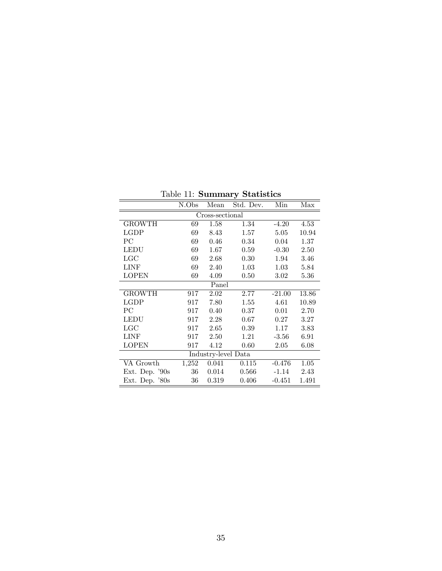|                     | N.Obs | Mean            | Std. Dev. | Min      | Max   |  |  |
|---------------------|-------|-----------------|-----------|----------|-------|--|--|
|                     |       | Cross-sectional |           |          |       |  |  |
| GROWTH              | 69    | 1.58            | 1.34      | $-4.20$  | 4.53  |  |  |
| <b>LGDP</b>         | 69    | 8.43            | 1.57      | 5.05     | 10.94 |  |  |
| PС                  | 69    | 0.46            | 0.34      | 0.04     | 1.37  |  |  |
| <b>LEDU</b>         | 69    | 1.67            | 0.59      | $-0.30$  | 2.50  |  |  |
| LGC                 | 69    | 2.68            | 0.30      | 1.94     | 3.46  |  |  |
| <b>LINF</b>         | 69    | 2.40            | 1.03      | 1.03     | 5.84  |  |  |
| <b>LOPEN</b>        | 69    | 4.09            | 0.50      | 3.02     | 5.36  |  |  |
|                     |       | Panel           |           |          |       |  |  |
| <b>GROWTH</b>       | 917   | 2.02            | 2.77      | $-21.00$ | 13.86 |  |  |
| LGDP                | 917   | 7.80            | 1.55      | 4.61     | 10.89 |  |  |
| PС                  | 917   | 0.40            | 0.37      | 0.01     | 2.70  |  |  |
| <b>LEDU</b>         | 917   | 2.28            | 0.67      | 0.27     | 3.27  |  |  |
| LGC                 | 917   | 2.65            | 0.39      | 1.17     | 3.83  |  |  |
| <b>LINF</b>         | 917   | 2.50            | 1.21      | $-3.56$  | 6.91  |  |  |
| <b>LOPEN</b>        | 917   | 4.12            | 0.60      | 2.05     | 6.08  |  |  |
| Industry-level Data |       |                 |           |          |       |  |  |
| VA Growth           | 1,252 | 0.041           | 0.115     | $-0.476$ | 1.05  |  |  |
| Ext. Dep. '90s      | 36    | 0.014           | 0.566     | $-1.14$  | 2.43  |  |  |
| Ext. Dep. $80s$     | 36    | 0.319           | 0.406     | $-0.451$ | 1.491 |  |  |

Table 11: Summary Statistics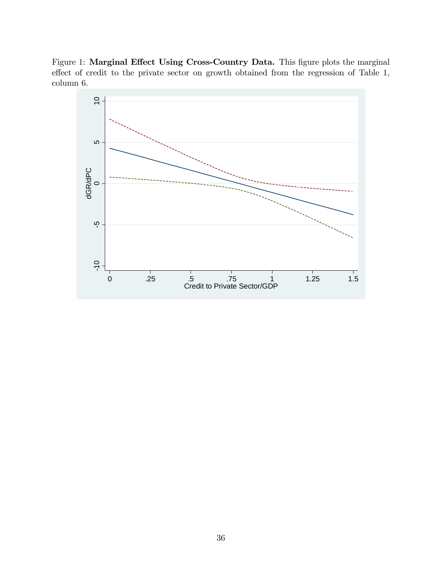Figure 1: Marginal Effect Using Cross-Country Data. This figure plots the marginal effect of credit to the private sector on growth obtained from the regression of Table 1, column 6.

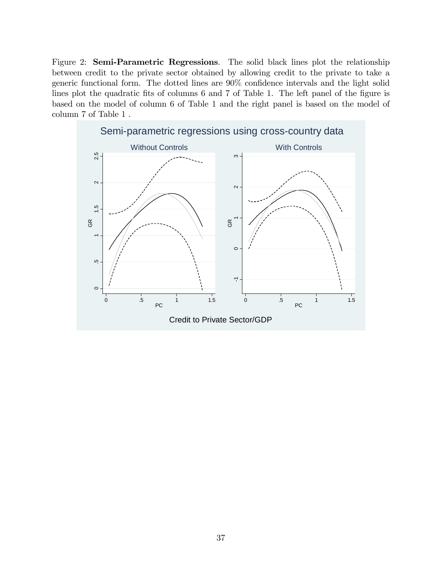Figure 2: Semi-Parametric Regressions. The solid black lines plot the relationship between credit to the private sector obtained by allowing credit to the private to take a generic functional form. The dotted lines are  $90\%$  confidence intervals and the light solid lines plot the quadratic fits of columns 6 and 7 of Table 1. The left panel of the figure is based on the model of column 6 of Table 1 and the right panel is based on the model of column 7 of Table 1 .

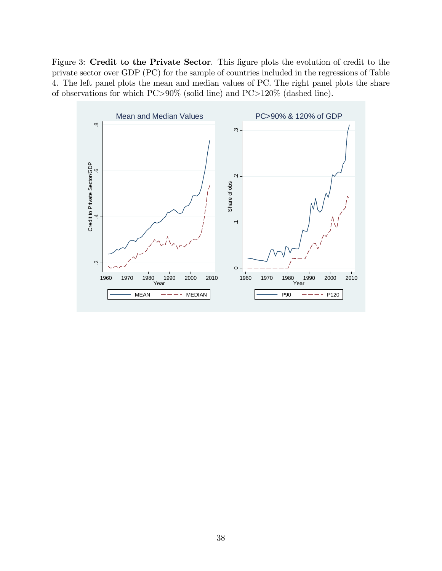Figure 3: Credit to the Private Sector. This figure plots the evolution of credit to the private sector over GDP (PC) for the sample of countries included in the regressions of Table 4. The left panel plots the mean and median values of PC. The right panel plots the share of observations for which PC>90% (solid line) and PC>120% (dashed line).

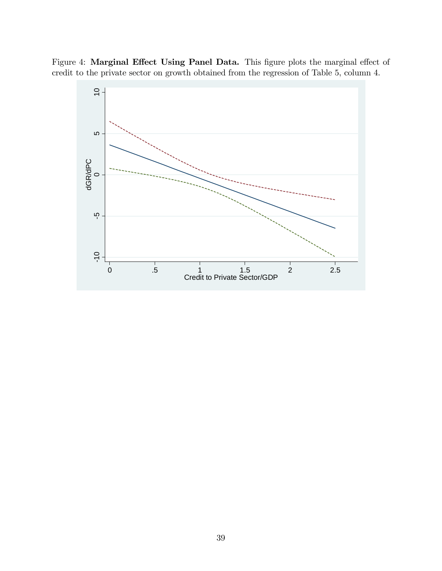Figure 4: Marginal Effect Using Panel Data. This figure plots the marginal effect of credit to the private sector on growth obtained from the regression of Table 5, column 4.

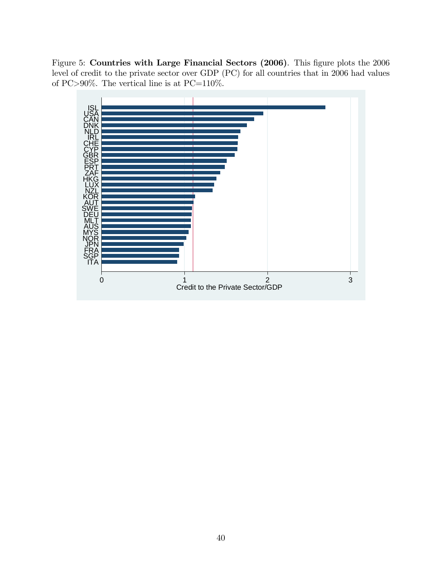Figure 5: Countries with Large Financial Sectors (2006). This figure plots the 2006 level of credit to the private sector over GDP (PC) for all countries that in 2006 had values of PC>90%. The vertical line is at PC=110%.

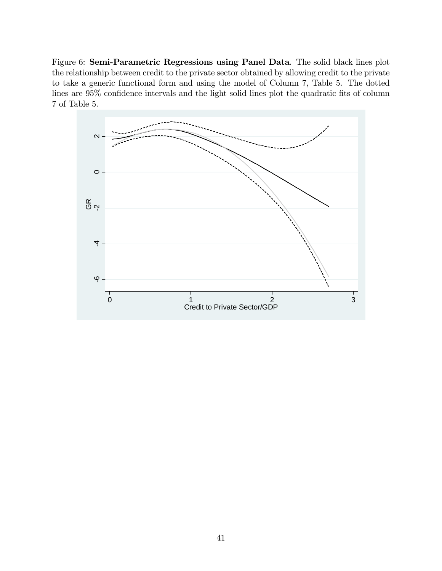Figure 6: Semi-Parametric Regressions using Panel Data. The solid black lines plot the relationship between credit to the private sector obtained by allowing credit to the private to take a generic functional form and using the model of Column 7, Table 5. The dotted lines are 95% confidence intervals and the light solid lines plot the quadratic fits of column 7 of Table 5.

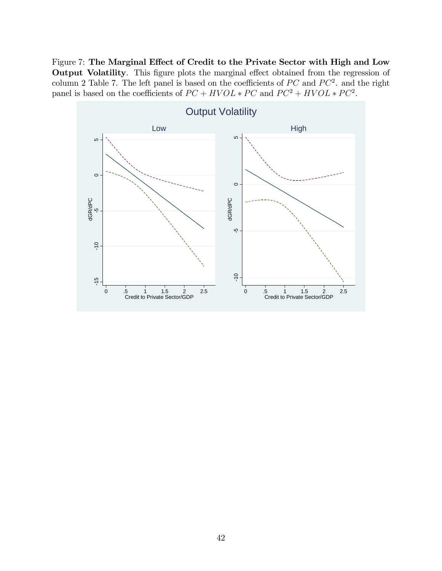Figure 7: The Marginal Effect of Credit to the Private Sector with High and Low Output Volatility. This figure plots the marginal effect obtained from the regression of column 2 Table 7. The left panel is based on the coefficients of  $PC$  and  $PC^2$ . and the right panel is based on the coefficients of  $PC + HVOL * PC$  and  $PC^2 + HVOL * PC^2$ .

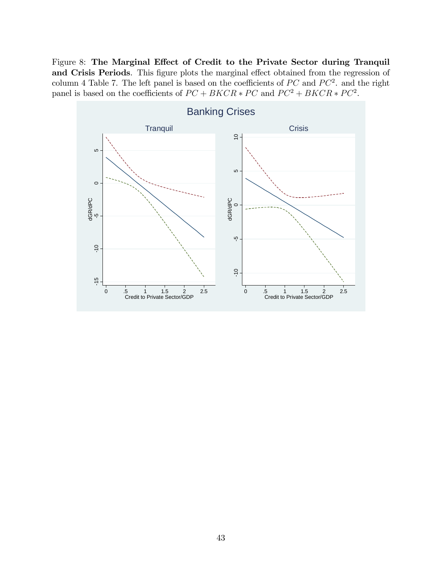Figure 8: The Marginal Effect of Credit to the Private Sector during Tranquil and Crisis Periods. This figure plots the marginal effect obtained from the regression of column 4 Table 7. The left panel is based on the coefficients of  $PC$  and  $PC^2$ . and the right panel is based on the coefficients of  $PC + BKCR * PC$  and  $PC^2 + BKCR * PC^2$ .